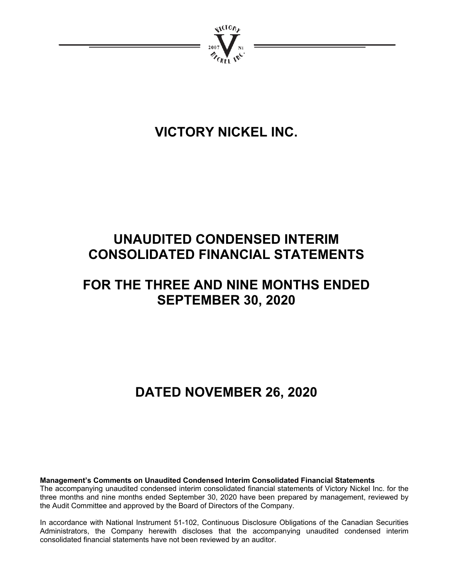

# **VICTORY NICKEL INC.**

# **UNAUDITED CONDENSED INTERIM CONSOLIDATED FINANCIAL STATEMENTS**

# **FOR THE THREE AND NINE MONTHS ENDED SEPTEMBER 30, 2020**

# **DATED NOVEMBER 26, 2020**

**Management's Comments on Unaudited Condensed Interim Consolidated Financial Statements** 

The accompanying unaudited condensed interim consolidated financial statements of Victory Nickel Inc. for the three months and nine months ended September 30, 2020 have been prepared by management, reviewed by the Audit Committee and approved by the Board of Directors of the Company.

In accordance with National Instrument 51-102, Continuous Disclosure Obligations of the Canadian Securities Administrators, the Company herewith discloses that the accompanying unaudited condensed interim consolidated financial statements have not been reviewed by an auditor.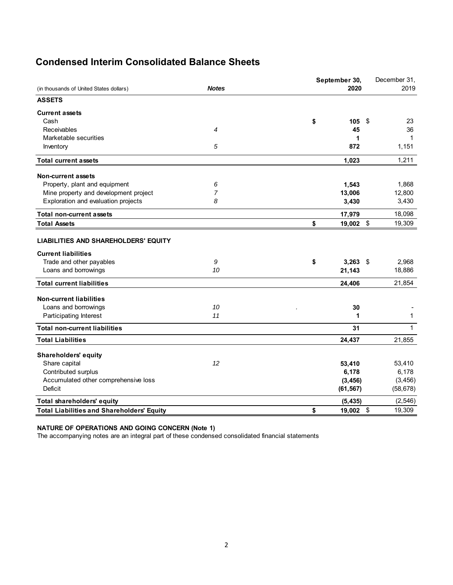# **Condensed Interim Consolidated Balance Sheets**

|                                                         |                | September 30,                  | December 31, |
|---------------------------------------------------------|----------------|--------------------------------|--------------|
| <b>Notes</b><br>(in thousands of United States dollars) |                | 2020                           | 2019         |
| <b>ASSETS</b>                                           |                |                                |              |
| <b>Current assets</b>                                   |                |                                |              |
| Cash                                                    |                | \$<br>105<br>-\$               | 23           |
| Receivables                                             | 4              | 45                             | 36           |
| Marketable securities                                   |                | 1                              | $\mathbf{1}$ |
| Inventory                                               | 5              | 872                            | 1,151        |
| <b>Total current assets</b>                             |                | 1,023                          | 1,211        |
| Non-current assets                                      |                |                                |              |
| Property, plant and equipment                           | 6              | 1,543                          | 1,868        |
| Mine property and development project                   | $\overline{7}$ | 13,006                         | 12,800       |
| Exploration and evaluation projects                     | 8              | 3,430                          | 3,430        |
| <b>Total non-current assets</b>                         |                | 17,979                         | 18,098       |
| <b>Total Assets</b>                                     |                | \$<br>\$<br>19,002             | 19,309       |
| <b>LIABILITIES AND SHAREHOLDERS' EQUITY</b>             |                |                                |              |
| <b>Current liabilities</b>                              |                |                                |              |
| Trade and other payables                                | 9              | \$<br>$3,263$ \$               | 2,968        |
| Loans and borrowings                                    | 10             | 21,143                         | 18,886       |
| <b>Total current liabilities</b>                        |                | 24,406                         | 21,854       |
| <b>Non-current liabilities</b>                          |                |                                |              |
| Loans and borrowings                                    | 10             | 30                             |              |
| Participating Interest                                  | 11             | 1                              | $\mathbf{1}$ |
| <b>Total non-current liabilities</b>                    |                | 31                             | $\mathbf{1}$ |
| <b>Total Liabilities</b>                                |                | 24,437                         | 21,855       |
| <b>Shareholders' equity</b>                             |                |                                |              |
| Share capital                                           | 12             | 53,410                         | 53,410       |
| Contributed surplus                                     |                | 6,178                          | 6,178        |
| Accumulated other comprehensive loss                    |                | (3, 456)                       | (3, 456)     |
| Deficit                                                 |                | (61, 567)                      | (58, 678)    |
| Total shareholders' equity                              |                | (5, 435)                       | (2, 546)     |
| <b>Total Liabilities and Shareholders' Equity</b>       |                | \$<br>$\mathfrak{s}$<br>19,002 | 19,309       |

#### **NATURE OF OPERATIONS AND GOING CONCERN (Note 1)**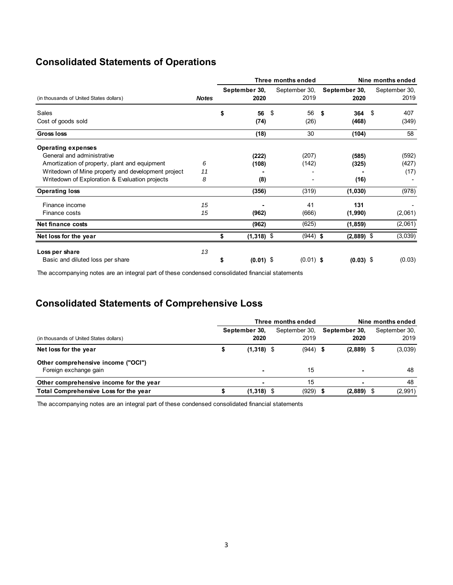# **Consolidated Statements of Operations**

|                                                    |              |                       | Three months ended    | Nine months ended     |                       |  |  |  |  |
|----------------------------------------------------|--------------|-----------------------|-----------------------|-----------------------|-----------------------|--|--|--|--|
| (in thousands of United States dollars)            | <b>Notes</b> | September 30,<br>2020 | September 30,<br>2019 | September 30,<br>2020 | September 30,<br>2019 |  |  |  |  |
| Sales                                              |              | \$<br>56              | 56<br>\$              | 364<br>- \$           | - \$<br>407           |  |  |  |  |
| Cost of goods sold                                 |              | (74)                  | (26)                  | (468)                 | (349)                 |  |  |  |  |
| <b>Gross loss</b>                                  |              | (18)                  | 30                    | (104)                 | 58                    |  |  |  |  |
| <b>Operating expenses</b>                          |              |                       |                       |                       |                       |  |  |  |  |
| General and administrative                         |              | (222)                 | (207)                 | (585)                 | (592)                 |  |  |  |  |
| Amortization of property, plant and equipment      | 6            | (108)                 | (142)                 | (325)                 | (427)                 |  |  |  |  |
| Writedown of Mine property and development project | 11           |                       |                       |                       | (17)                  |  |  |  |  |
| Writedown of Exploration & Evaluation projects     | 8            | (8)                   |                       | (16)                  |                       |  |  |  |  |
| <b>Operating loss</b>                              |              | (356)                 | (319)                 | (1,030)               | (978)                 |  |  |  |  |
| Finance income                                     | 15           |                       | 41                    | 131                   |                       |  |  |  |  |
| Finance costs                                      | 15           | (962)                 | (666)                 | (1,990)               | (2,061)               |  |  |  |  |
| Net finance costs                                  |              | (962)                 | (625)                 | (1, 859)              | (2,061)               |  |  |  |  |
| Net loss for the year                              |              | $(1,318)$ \$<br>\$    | $(944)$ \$            | $(2,889)$ \$          | (3,039)               |  |  |  |  |
| Loss per share                                     | 13           |                       |                       |                       |                       |  |  |  |  |
| Basic and diluted loss per share                   |              | $(0.01)$ \$<br>\$     | $(0.01)$ \$           | $(0.03)$ \$           | (0.03)                |  |  |  |  |

The accompanying notes are an integral part of these condensed consolidated financial statements

# **Consolidated Statements of Comprehensive Loss**

|                                                             | Three months ended    |                       | Nine months ended |                       |  |                       |
|-------------------------------------------------------------|-----------------------|-----------------------|-------------------|-----------------------|--|-----------------------|
| (in thousands of United States dollars)                     | September 30.<br>2020 | September 30,<br>2019 |                   | September 30,<br>2020 |  | September 30,<br>2019 |
| Net loss for the year                                       | $(1,318)$ \$          |                       | $(944)$ \$        | $(2,889)$ \$          |  | (3,039)               |
| Other comprehensive income ("OCI")<br>Foreign exchange gain | $\blacksquare$        | 15                    |                   |                       |  | 48                    |
| Other comprehensive income for the year                     |                       | 15                    |                   |                       |  | 48                    |
| Total Comprehensive Loss for the year                       | $(1,318)$ \$          | (929)                 |                   | (2,889)               |  | (2,991)               |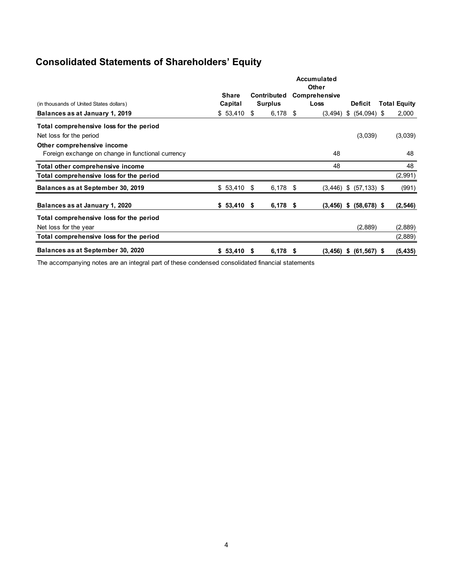# **Consolidated Statements of Shareholders' Equity**

|                                                   |              |                    |                |               | Accumulated<br><b>Other</b> |    |                            |                     |
|---------------------------------------------------|--------------|--------------------|----------------|---------------|-----------------------------|----|----------------------------|---------------------|
|                                                   | <b>Share</b> | <b>Contributed</b> |                | Comprehensive |                             |    |                            |                     |
| (in thousands of United States dollars)           | Capital      |                    | <b>Surplus</b> |               | Loss                        |    | <b>Deficit</b>             | <b>Total Equity</b> |
| Balances as at January 1, 2019                    | \$53,410     | S.                 | $6,178$ \$     |               | (3, 494)                    | \$ | $(54,094)$ \$              | 2,000               |
| Total comprehensive loss for the period           |              |                    |                |               |                             |    |                            |                     |
| Net loss for the period                           |              |                    |                |               |                             |    | (3,039)                    | (3,039)             |
| Other comprehensive income                        |              |                    |                |               |                             |    |                            |                     |
| Foreign exchange on change in functional currency |              |                    |                |               | 48                          |    |                            | 48                  |
| Total other comprehensive income                  |              |                    |                |               | 48                          |    |                            | 48                  |
| Total comprehensive loss for the period           |              |                    |                |               |                             |    |                            | (2,991)             |
| Balances as at September 30, 2019                 | \$53,410     | -\$                | $6,178$ \$     |               |                             |    | $(3,446)$ \$ $(57,133)$ \$ | (991)               |
| Balances as at January 1, 2020                    | \$53,410     | - \$               | $6,178$ \$     |               | $(3,456)$ \$                |    | $(58, 678)$ \$             | (2, 546)            |
| Total comprehensive loss for the period           |              |                    |                |               |                             |    |                            |                     |
| Net loss for the year                             |              |                    |                |               |                             |    | (2,889)                    | (2,889)             |
| Total comprehensive loss for the period           |              |                    |                |               |                             |    |                            | (2,889)             |
| Balances as at September 30, 2020                 | \$53,410     | S                  | $6,178$ \$     |               |                             |    | $(3,456)$ \$ $(61,567)$ \$ | (5, 435)            |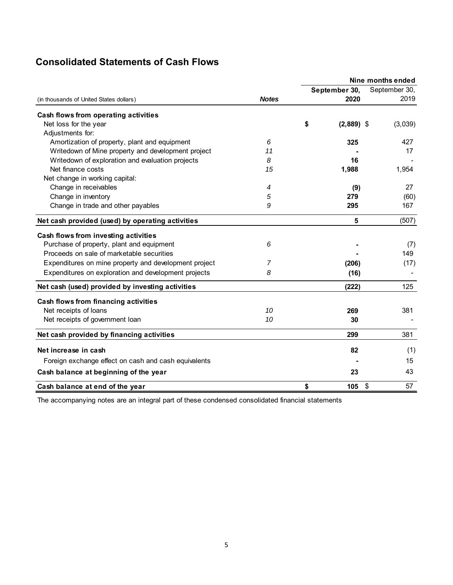# **Consolidated Statements of Cash Flows**

|                                                       |              | Nine months ended |               |                                 |  |  |  |  |
|-------------------------------------------------------|--------------|-------------------|---------------|---------------------------------|--|--|--|--|
|                                                       |              |                   | September 30, | September 30,                   |  |  |  |  |
| (in thousands of United States dollars)               | <b>Notes</b> |                   | 2020          | 2019                            |  |  |  |  |
| Cash flows from operating activities                  |              |                   |               |                                 |  |  |  |  |
| Net loss for the year                                 |              | \$                | $(2,889)$ \$  | (3,039)                         |  |  |  |  |
| Adjustments for:                                      |              |                   |               |                                 |  |  |  |  |
| Amortization of property, plant and equipment         | 6            |                   | 325           | 427                             |  |  |  |  |
| Writedown of Mine property and development project    | 11           |                   |               | 17                              |  |  |  |  |
| Writedown of exploration and evaluation projects      | 8            |                   | 16            |                                 |  |  |  |  |
| Net finance costs                                     | 15           |                   | 1,988         | 1,954                           |  |  |  |  |
| Net change in working capital:                        |              |                   |               |                                 |  |  |  |  |
| Change in receivables                                 | 4            |                   | (9)           | 27                              |  |  |  |  |
| Change in inventory                                   | 5            |                   | 279           | (60)                            |  |  |  |  |
| Change in trade and other payables                    | 9            |                   | 295           | 167                             |  |  |  |  |
| Net cash provided (used) by operating activities      |              |                   | 5             | (507)                           |  |  |  |  |
| Cash flows from investing activities                  |              |                   |               |                                 |  |  |  |  |
| Purchase of property, plant and equipment             | 6            |                   |               | (7)                             |  |  |  |  |
| Proceeds on sale of marketable securities             |              |                   |               | 149                             |  |  |  |  |
| Expenditures on mine property and development project | 7            |                   | (206)         | (17)                            |  |  |  |  |
| Expenditures on exploration and development projects  | 8            |                   | (16)          |                                 |  |  |  |  |
| Net cash (used) provided by investing activities      |              |                   | (222)         | 125                             |  |  |  |  |
| Cash flows from financing activities                  |              |                   |               |                                 |  |  |  |  |
| Net receipts of loans                                 | 10           |                   | 269           | 381                             |  |  |  |  |
| Net receipts of government loan                       | 10           |                   | 30            |                                 |  |  |  |  |
| Net cash provided by financing activities             |              |                   | 299           | 381                             |  |  |  |  |
| Net increase in cash                                  |              |                   | 82            | (1)                             |  |  |  |  |
| Foreign exchange effect on cash and cash equivalents  |              |                   |               | 15                              |  |  |  |  |
| Cash balance at beginning of the year                 |              |                   | 23            | 43                              |  |  |  |  |
| Cash balance at end of the year                       |              | \$                | 105           | $\boldsymbol{\mathsf{S}}$<br>57 |  |  |  |  |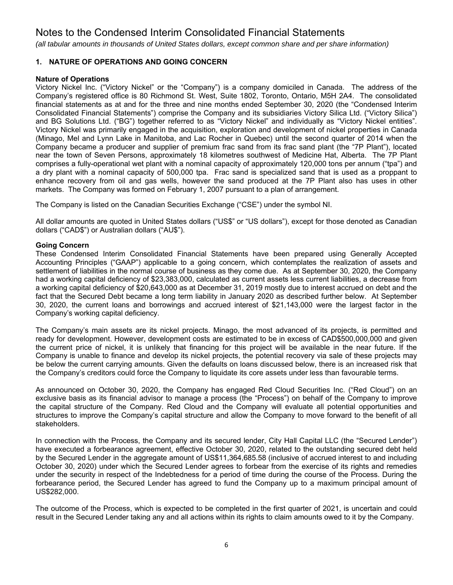*(all tabular amounts in thousands of United States dollars, except common share and per share information)*

# **1. NATURE OF OPERATIONS AND GOING CONCERN**

### **Nature of Operations**

Victory Nickel Inc. ("Victory Nickel" or the "Company") is a company domiciled in Canada. The address of the Company's registered office is 80 Richmond St. West, Suite 1802, Toronto, Ontario, M5H 2A4. The consolidated financial statements as at and for the three and nine months ended September 30, 2020 (the "Condensed Interim Consolidated Financial Statements") comprise the Company and its subsidiaries Victory Silica Ltd. ("Victory Silica") and BG Solutions Ltd. ("BG") together referred to as "Victory Nickel" and individually as "Victory Nickel entities". Victory Nickel was primarily engaged in the acquisition, exploration and development of nickel properties in Canada (Minago, Mel and Lynn Lake in Manitoba, and Lac Rocher in Quebec) until the second quarter of 2014 when the Company became a producer and supplier of premium frac sand from its frac sand plant (the "7P Plant"), located near the town of Seven Persons, approximately 18 kilometres southwest of Medicine Hat, Alberta. The 7P Plant comprises a fully-operational wet plant with a nominal capacity of approximately 120,000 tons per annum ("tpa") and a dry plant with a nominal capacity of 500,000 tpa. Frac sand is specialized sand that is used as a proppant to enhance recovery from oil and gas wells, however the sand produced at the 7P Plant also has uses in other markets. The Company was formed on February 1, 2007 pursuant to a plan of arrangement.

The Company is listed on the Canadian Securities Exchange ("CSE") under the symbol NI.

All dollar amounts are quoted in United States dollars ("US\$" or "US dollars"), except for those denoted as Canadian dollars ("CAD\$") or Australian dollars ("AU\$").

# **Going Concern**

These Condensed Interim Consolidated Financial Statements have been prepared using Generally Accepted Accounting Principles ("GAAP") applicable to a going concern, which contemplates the realization of assets and settlement of liabilities in the normal course of business as they come due. As at September 30, 2020, the Company had a working capital deficiency of \$23,383,000, calculated as current assets less current liabilities, a decrease from a working capital deficiency of \$20,643,000 as at December 31, 2019 mostly due to interest accrued on debt and the fact that the Secured Debt became a long term liability in January 2020 as described further below. At September 30, 2020, the current loans and borrowings and accrued interest of \$21,143,000 were the largest factor in the Company's working capital deficiency.

The Company's main assets are its nickel projects. Minago, the most advanced of its projects, is permitted and ready for development. However, development costs are estimated to be in excess of CAD\$500,000,000 and given the current price of nickel, it is unlikely that financing for this project will be available in the near future. If the Company is unable to finance and develop its nickel projects, the potential recovery via sale of these projects may be below the current carrying amounts. Given the defaults on loans discussed below, there is an increased risk that the Company's creditors could force the Company to liquidate its core assets under less than favourable terms.

As announced on October 30, 2020, the Company has engaged Red Cloud Securities Inc. ("Red Cloud") on an exclusive basis as its financial advisor to manage a process (the "Process") on behalf of the Company to improve the capital structure of the Company. Red Cloud and the Company will evaluate all potential opportunities and structures to improve the Company's capital structure and allow the Company to move forward to the benefit of all stakeholders.

In connection with the Process, the Company and its secured lender, City Hall Capital LLC (the "Secured Lender") have executed a forbearance agreement, effective October 30, 2020, related to the outstanding secured debt held by the Secured Lender in the aggregate amount of US\$11,364,685.58 (inclusive of accrued interest to and including October 30, 2020) under which the Secured Lender agrees to forbear from the exercise of its rights and remedies under the security in respect of the Indebtedness for a period of time during the course of the Process. During the forbearance period, the Secured Lender has agreed to fund the Company up to a maximum principal amount of US\$282,000.

The outcome of the Process, which is expected to be completed in the first quarter of 2021, is uncertain and could result in the Secured Lender taking any and all actions within its rights to claim amounts owed to it by the Company.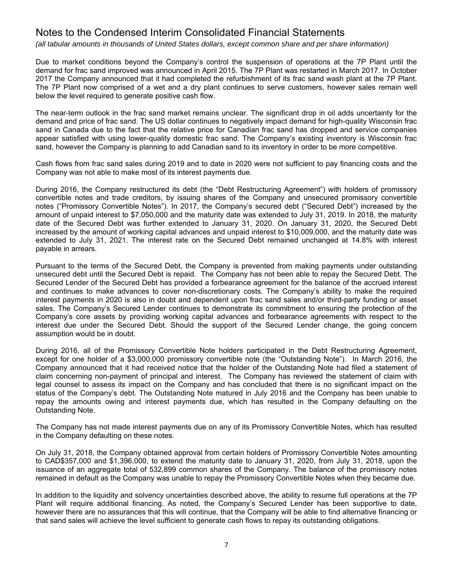*(all tabular amounts in thousands of United States dollars, except common share and per share information)*

Due to market conditions beyond the Company's control the suspension of operations at the 7P Plant until the demand for frac sand improved was announced in April 2015. The 7P Plant was restarted in March 2017. In October 2017 the Company announced that it had completed the refurbishment of its frac sand wash plant at the 7P Plant. The 7P Plant now comprised of a wet and a dry plant continues to serve customers, however sales remain well below the level required to generate positive cash flow.

The near-term outlook in the frac sand market remains unclear. The significant drop in oil adds uncertainty for the demand and price of frac sand. The US dollar continues to negatively impact demand for high-quality Wisconsin frac sand in Canada due to the fact that the relative price for Canadian frac sand has dropped and service companies appear satisfied with using lower-quality domestic frac sand. The Company's existing inventory is Wisconsin frac sand, however the Company is planning to add Canadian sand to its inventory in order to be more competitive.

Cash flows from frac sand sales during 2019 and to date in 2020 were not sufficient to pay financing costs and the Company was not able to make most of its interest payments due.

During 2016, the Company restructured its debt (the "Debt Restructuring Agreement") with holders of promissory convertible notes and trade creditors, by issuing shares of the Company and unsecured promissory convertible notes ("Promissory Convertible Notes"). In 2017, the Company's secured debt ("Secured Debt") increased by the amount of unpaid interest to \$7,050,000 and the maturity date was extended to July 31, 2019. In 2018, the maturity date of the Secured Debt was further extended to January 31, 2020. On January 31, 2020, the Secured Debt increased by the amount of working capital advances and unpaid interest to \$10,009,000, and the maturity date was extended to July 31, 2021. The interest rate on the Secured Debt remained unchanged at 14.8% with interest payable in arrears.

Pursuant to the terms of the Secured Debt, the Company is prevented from making payments under outstanding unsecured debt until the Secured Debt is repaid. The Company has not been able to repay the Secured Debt. The Secured Lender of the Secured Debt has provided a forbearance agreement for the balance of the accrued interest and continues to make advances to cover non-discretionary costs. The Company's ability to make the required interest payments in 2020 is also in doubt and dependent upon frac sand sales and/or third-party funding or asset sales. The Company's Secured Lender continues to demonstrate its commitment to ensuring the protection of the Company's core assets by providing working capital advances and forbearance agreements with respect to the interest due under the Secured Debt. Should the support of the Secured Lender change, the going concern assumption would be in doubt.

During 2016, all of the Promissory Convertible Note holders participated in the Debt Restructuring Agreement, except for one holder of a \$3,000,000 promissory convertible note (the "Outstanding Note"). In March 2016, the Company announced that it had received notice that the holder of the Outstanding Note had filed a statement of claim concerning non-payment of principal and interest. The Company has reviewed the statement of claim with legal counsel to assess its impact on the Company and has concluded that there is no significant impact on the status of the Company's debt. The Outstanding Note matured in July 2016 and the Company has been unable to repay the amounts owing and interest payments due, which has resulted in the Company defaulting on the Outstanding Note.

The Company has not made interest payments due on any of its Promissory Convertible Notes, which has resulted in the Company defaulting on these notes.

On July 31, 2018, the Company obtained approval from certain holders of Promissory Convertible Notes amounting to CAD\$357,000 and \$1,396,000, to extend the maturity date to January 31, 2020, from July 31, 2018, upon the issuance of an aggregate total of 532,899 common shares of the Company. The balance of the promissory notes remained in default as the Company was unable to repay the Promissory Convertible Notes when they became due.

In addition to the liquidity and solvency uncertainties described above, the ability to resume full operations at the 7P Plant will require additional financing. As noted, the Company's Secured Lender has been supportive to date, however there are no assurances that this will continue, that the Company will be able to find alternative financing or that sand sales will achieve the level sufficient to generate cash flows to repay its outstanding obligations.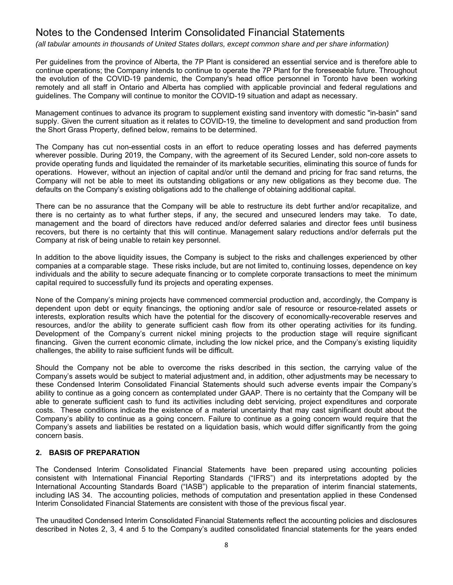*(all tabular amounts in thousands of United States dollars, except common share and per share information)*

Per guidelines from the province of Alberta, the 7P Plant is considered an essential service and is therefore able to continue operations; the Company intends to continue to operate the 7P Plant for the foreseeable future. Throughout the evolution of the COVID-19 pandemic, the Company's head office personnel in Toronto have been working remotely and all staff in Ontario and Alberta has complied with applicable provincial and federal regulations and guidelines. The Company will continue to monitor the COVID-19 situation and adapt as necessary.

Management continues to advance its program to supplement existing sand inventory with domestic "in-basin" sand supply. Given the current situation as it relates to COVID-19, the timeline to development and sand production from the Short Grass Property, defined below, remains to be determined.

The Company has cut non-essential costs in an effort to reduce operating losses and has deferred payments wherever possible. During 2019, the Company, with the agreement of its Secured Lender, sold non-core assets to provide operating funds and liquidated the remainder of its marketable securities, eliminating this source of funds for operations. However, without an injection of capital and/or until the demand and pricing for frac sand returns, the Company will not be able to meet its outstanding obligations or any new obligations as they become due. The defaults on the Company's existing obligations add to the challenge of obtaining additional capital.

There can be no assurance that the Company will be able to restructure its debt further and/or recapitalize, and there is no certainty as to what further steps, if any, the secured and unsecured lenders may take. To date, management and the board of directors have reduced and/or deferred salaries and director fees until business recovers, but there is no certainty that this will continue. Management salary reductions and/or deferrals put the Company at risk of being unable to retain key personnel.

In addition to the above liquidity issues, the Company is subject to the risks and challenges experienced by other companies at a comparable stage. These risks include, but are not limited to, continuing losses, dependence on key individuals and the ability to secure adequate financing or to complete corporate transactions to meet the minimum capital required to successfully fund its projects and operating expenses.

None of the Company's mining projects have commenced commercial production and, accordingly, the Company is dependent upon debt or equity financings, the optioning and/or sale of resource or resource-related assets or interests, exploration results which have the potential for the discovery of economically-recoverable reserves and resources, and/or the ability to generate sufficient cash flow from its other operating activities for its funding. Development of the Company's current nickel mining projects to the production stage will require significant financing. Given the current economic climate, including the low nickel price, and the Company's existing liquidity challenges, the ability to raise sufficient funds will be difficult.

Should the Company not be able to overcome the risks described in this section, the carrying value of the Company's assets would be subject to material adjustment and, in addition, other adjustments may be necessary to these Condensed Interim Consolidated Financial Statements should such adverse events impair the Company's ability to continue as a going concern as contemplated under GAAP. There is no certainty that the Company will be able to generate sufficient cash to fund its activities including debt servicing, project expenditures and corporate costs. These conditions indicate the existence of a material uncertainty that may cast significant doubt about the Company's ability to continue as a going concern. Failure to continue as a going concern would require that the Company's assets and liabilities be restated on a liquidation basis, which would differ significantly from the going concern basis.

# **2. BASIS OF PREPARATION**

The Condensed Interim Consolidated Financial Statements have been prepared using accounting policies consistent with International Financial Reporting Standards ("IFRS") and its interpretations adopted by the International Accounting Standards Board ("IASB") applicable to the preparation of interim financial statements, including IAS 34. The accounting policies, methods of computation and presentation applied in these Condensed Interim Consolidated Financial Statements are consistent with those of the previous fiscal year.

The unaudited Condensed Interim Consolidated Financial Statements reflect the accounting policies and disclosures described in Notes 2, 3, 4 and 5 to the Company's audited consolidated financial statements for the years ended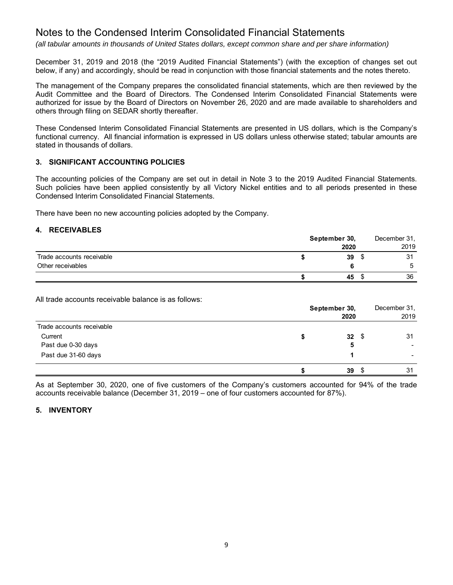*(all tabular amounts in thousands of United States dollars, except common share and per share information)*

December 31, 2019 and 2018 (the "2019 Audited Financial Statements") (with the exception of changes set out below, if any) and accordingly, should be read in conjunction with those financial statements and the notes thereto.

The management of the Company prepares the consolidated financial statements, which are then reviewed by the Audit Committee and the Board of Directors. The Condensed Interim Consolidated Financial Statements were authorized for issue by the Board of Directors on November 26, 2020 and are made available to shareholders and others through filing on SEDAR shortly thereafter.

These Condensed Interim Consolidated Financial Statements are presented in US dollars, which is the Company's functional currency. All financial information is expressed in US dollars unless otherwise stated; tabular amounts are stated in thousands of dollars.

# **3. SIGNIFICANT ACCOUNTING POLICIES**

The accounting policies of the Company are set out in detail in Note 3 to the 2019 Audited Financial Statements. Such policies have been applied consistently by all Victory Nickel entities and to all periods presented in these Condensed Interim Consolidated Financial Statements.

There have been no new accounting policies adopted by the Company.

# **4. RECEIVABLES**

|                           | September 30, | December 31, |      |  |
|---------------------------|---------------|--------------|------|--|
|                           | 2020          |              | 2019 |  |
| Trade accounts receivable | 39            |              | 31   |  |
| Other receivables         |               |              | 5    |  |
|                           | 45            |              | 36   |  |

All trade accounts receivable balance is as follows:

|                           | September 30, | 2020       | December 31,<br>2019 |
|---------------------------|---------------|------------|----------------------|
| Trade accounts receivable |               |            |                      |
| Current                   |               | $32 \quad$ | 31                   |
| Past due 0-30 days        |               | 5          |                      |
| Past due 31-60 days       |               |            |                      |
|                           | S             | 39         | 31                   |

As at September 30, 2020, one of five customers of the Company's customers accounted for 94% of the trade accounts receivable balance (December 31, 2019 – one of four customers accounted for 87%).

### **5. INVENTORY**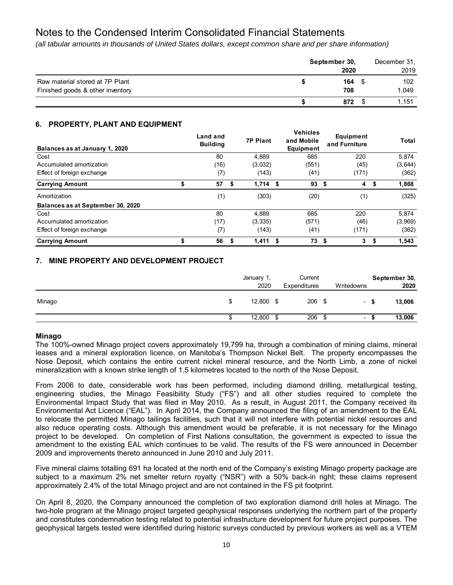*(all tabular amounts in thousands of United States dollars, except common share and per share information)*

|                                  | September 30, | December 31, |  |  |
|----------------------------------|---------------|--------------|--|--|
|                                  | 2020          | 2019         |  |  |
| Raw material stored at 7P Plant  | $164 \quad $$ | 102          |  |  |
| Finished goods & other inventory | 708           | 1.049        |  |  |
|                                  | 872           | 1.151        |  |  |

# **6. PROPERTY, PLANT AND EQUIPMENT**

| Balances as at January 1, 2020    | Land and<br><b>Building</b> | <b>7P Plant</b> |      | <b>Vehicles</b><br>and Mobile<br>Equipment |      | Equipment<br>and Furniture | Total       |
|-----------------------------------|-----------------------------|-----------------|------|--------------------------------------------|------|----------------------------|-------------|
| Cost                              | 80                          | 4,889           |      | 685                                        |      | 220                        | 5,874       |
| Accumulated amortization          | (16)                        | (3,032)         |      | (551)                                      |      | (45)                       | (3,644)     |
| Effect of foreign exchange        | (7)                         | (143)           |      | (41)                                       |      | (171)                      | (362)       |
| <b>Carrying Amount</b>            | 57                          | \$<br>1,714     | - \$ | 93                                         | \$   | 4                          | \$<br>1,868 |
| Amortization                      | (1)                         | (303)           |      | (20)                                       |      | (1)                        | (325)       |
| Balances as at September 30, 2020 |                             |                 |      |                                            |      |                            |             |
| Cost                              | 80                          | 4.889           |      | 685                                        |      | 220                        | 5.874       |
| Accumulated amortization          | (17)                        | (3, 335)        |      | (571)                                      |      | (46)                       | (3,969)     |
| Effect of foreign exchange        | (7)                         | (143)           |      | (41)                                       |      | (171)                      | (362)       |
| <b>Carrying Amount</b>            | 56                          | 1,411           | - \$ | 73                                         | - \$ | 3                          | \$<br>1,543 |

# **7. MINE PROPERTY AND DEVELOPMENT PROJECT**

|              | January 1,<br>2020 |      | Current<br>Expenditures | Writedowns               | September 30,<br>2020 |
|--------------|--------------------|------|-------------------------|--------------------------|-----------------------|
| Minago<br>\$ | 12,800             | - \$ | $206$ \$                | $\overline{\phantom{a}}$ | 13,006                |
| Œ            | 12,800             | S    | 206                     | \$<br>۰                  | 13,006                |

# **Minago**

The 100%-owned Minago project covers approximately 19,799 ha, through a combination of mining claims, mineral leases and a mineral exploration licence, on Manitoba's Thompson Nickel Belt. The property encompasses the Nose Deposit, which contains the entire current nickel mineral resource, and the North Limb, a zone of nickel mineralization with a known strike length of 1.5 kilometres located to the north of the Nose Deposit.

From 2006 to date, considerable work has been performed, including diamond drilling, metallurgical testing, engineering studies, the Minago Feasibility Study ("FS") and all other studies required to complete the Environmental Impact Study that was filed in May 2010. As a result, in August 2011, the Company received its Environmental Act Licence ("EAL"). In April 2014, the Company announced the filing of an amendment to the EAL to relocate the permitted Minago tailings facilities, such that it will not interfere with potential nickel resources and also reduce operating costs. Although this amendment would be preferable, it is not necessary for the Minago project to be developed. On completion of First Nations consultation, the government is expected to issue the amendment to the existing EAL which continues to be valid. The results of the FS were announced in December 2009 and improvements thereto announced in June 2010 and July 2011.

Five mineral claims totalling 691 ha located at the north end of the Company's existing Minago property package are subject to a maximum 2% net smelter return royalty ("NSR") with a 50% back-in right; these claims represent approximately 2.4% of the total Minago project and are not contained in the FS pit footprint.

On April 8, 2020, the Company announced the completion of two exploration diamond drill holes at Minago. The two-hole program at the Minago project targeted geophysical responses underlying the northern part of the property and constitutes condemnation testing related to potential infrastructure development for future project purposes. The geophysical targets tested were identified during historic surveys conducted by previous workers as well as a VTEM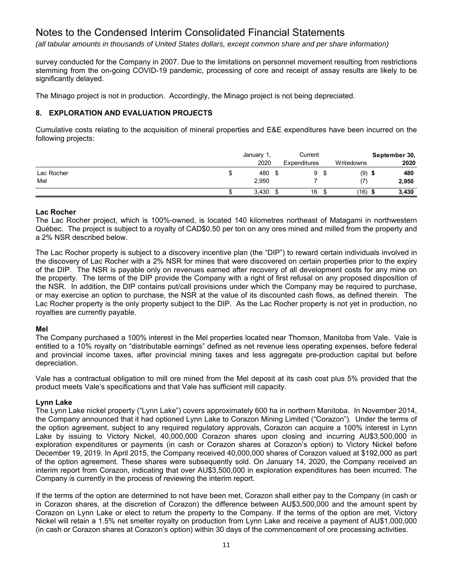*(all tabular amounts in thousands of United States dollars, except common share and per share information)*

survey conducted for the Company in 2007. Due to the limitations on personnel movement resulting from restrictions stemming from the on-going COVID-19 pandemic, processing of core and receipt of assay results are likely to be significantly delayed.

The Minago project is not in production. Accordingly, the Minago project is not being depreciated.

# **8. EXPLORATION AND EVALUATION PROJECTS**

Cumulative costs relating to the acquisition of mineral properties and E&E expenditures have been incurred on the following projects:

|            |   | January 1, | Current      |         |            | September 30, |
|------------|---|------------|--------------|---------|------------|---------------|
|            |   | 2020       | Expenditures |         | Writedowns | 2020          |
| Lac Rocher | S | 480        |              | -S      | (9)        | 480           |
| Mel        |   | 2,950      |              |         |            | 2,950         |
|            | ა | 3,430      | 16           | œ<br>.১ | (16)       | 3,430         |

# **Lac Rocher**

The Lac Rocher project, which is 100%-owned, is located 140 kilometres northeast of Matagami in northwestern Québec. The project is subject to a royalty of CAD\$0.50 per ton on any ores mined and milled from the property and a 2% NSR described below.

The Lac Rocher property is subject to a discovery incentive plan (the "DIP") to reward certain individuals involved in the discovery of Lac Rocher with a 2% NSR for mines that were discovered on certain properties prior to the expiry of the DIP. The NSR is payable only on revenues earned after recovery of all development costs for any mine on the property. The terms of the DIP provide the Company with a right of first refusal on any proposed disposition of the NSR. In addition, the DIP contains put/call provisions under which the Company may be required to purchase, or may exercise an option to purchase, the NSR at the value of its discounted cash flows, as defined therein. The Lac Rocher property is the only property subject to the DIP. As the Lac Rocher property is not yet in production, no royalties are currently payable.

# **Mel**

The Company purchased a 100% interest in the Mel properties located near Thomson, Manitoba from Vale. Vale is entitled to a 10% royalty on "distributable earnings" defined as net revenue less operating expenses, before federal and provincial income taxes, after provincial mining taxes and less aggregate pre-production capital but before depreciation.

Vale has a contractual obligation to mill ore mined from the Mel deposit at its cash cost plus 5% provided that the product meets Vale's specifications and that Vale has sufficient mill capacity.

# **Lynn Lake**

The Lynn Lake nickel property ("Lynn Lake") covers approximately 600 ha in northern Manitoba. In November 2014, the Company announced that it had optioned Lynn Lake to Corazon Mining Limited ("Corazon"). Under the terms of the option agreement, subject to any required regulatory approvals, Corazon can acquire a 100% interest in Lynn Lake by issuing to Victory Nickel, 40,000,000 Corazon shares upon closing and incurring AU\$3,500,000 in exploration expenditures or payments (in cash or Corazon shares at Corazon's option) to Victory Nickel before December 19, 2019. In April 2015, the Company received 40,000,000 shares of Corazon valued at \$192,000 as part of the option agreement. These shares were subsequently sold. On January 14, 2020, the Company received an interim report from Corazon, indicating that over AU\$3,500,000 in exploration expenditures has been incurred. The Company is currently in the process of reviewing the interim report.

If the terms of the option are determined to not have been met, Corazon shall either pay to the Company (in cash or in Corazon shares, at the discretion of Corazon) the difference between AU\$3,500,000 and the amount spent by Corazon on Lynn Lake or elect to return the property to the Company. If the terms of the option are met, Victory Nickel will retain a 1.5% net smelter royalty on production from Lynn Lake and receive a payment of AU\$1,000,000 (in cash or Corazon shares at Corazon's option) within 30 days of the commencement of ore processing activities.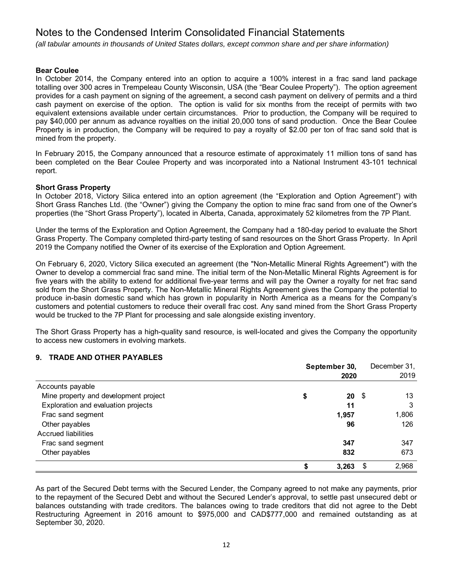*(all tabular amounts in thousands of United States dollars, except common share and per share information)*

### **Bear Coulee**

In October 2014, the Company entered into an option to acquire a 100% interest in a frac sand land package totalling over 300 acres in Trempeleau County Wisconsin, USA (the "Bear Coulee Property"). The option agreement provides for a cash payment on signing of the agreement, a second cash payment on delivery of permits and a third cash payment on exercise of the option. The option is valid for six months from the receipt of permits with two equivalent extensions available under certain circumstances. Prior to production, the Company will be required to pay \$40,000 per annum as advance royalties on the initial 20,000 tons of sand production. Once the Bear Coulee Property is in production, the Company will be required to pay a royalty of \$2.00 per ton of frac sand sold that is mined from the property.

In February 2015, the Company announced that a resource estimate of approximately 11 million tons of sand has been completed on the Bear Coulee Property and was incorporated into a National Instrument 43-101 technical report.

# **Short Grass Property**

In October 2018, Victory Silica entered into an option agreement (the "Exploration and Option Agreement") with Short Grass Ranches Ltd. (the "Owner") giving the Company the option to mine frac sand from one of the Owner's properties (the "Short Grass Property"), located in Alberta, Canada, approximately 52 kilometres from the 7P Plant.

Under the terms of the Exploration and Option Agreement, the Company had a 180-day period to evaluate the Short Grass Property. The Company completed third-party testing of sand resources on the Short Grass Property. In April 2019 the Company notified the Owner of its exercise of the Exploration and Option Agreement.

On February 6, 2020, Victory Silica executed an agreement (the "Non-Metallic Mineral Rights Agreement") with the Owner to develop a commercial frac sand mine. The initial term of the Non-Metallic Mineral Rights Agreement is for five years with the ability to extend for additional five-year terms and will pay the Owner a royalty for net frac sand sold from the Short Grass Property. The Non-Metallic Mineral Rights Agreement gives the Company the potential to produce in-basin domestic sand which has grown in popularity in North America as a means for the Company's customers and potential customers to reduce their overall frac cost. Any sand mined from the Short Grass Property would be trucked to the 7P Plant for processing and sale alongside existing inventory.

The Short Grass Property has a high-quality sand resource, is well-located and gives the Company the opportunity to access new customers in evolving markets.

# **9. TRADE AND OTHER PAYABLES**

|                                       | September 30, |            | December 31, |
|---------------------------------------|---------------|------------|--------------|
|                                       |               | 2020       | 2019         |
| Accounts payable                      |               |            |              |
| Mine property and development project | \$            | $20 \,$ \$ | 13           |
| Exploration and evaluation projects   |               | 11         | 3            |
| Frac sand segment                     |               | 1,957      | 1,806        |
| Other payables                        |               | 96         | 126          |
| Accrued liabilities                   |               |            |              |
| Frac sand segment                     |               | 347        | 347          |
| Other payables                        |               | 832        | 673          |
|                                       |               | 3,263      | \$<br>2,968  |

As part of the Secured Debt terms with the Secured Lender, the Company agreed to not make any payments, prior to the repayment of the Secured Debt and without the Secured Lender's approval, to settle past unsecured debt or balances outstanding with trade creditors. The balances owing to trade creditors that did not agree to the Debt Restructuring Agreement in 2016 amount to \$975,000 and CAD\$777,000 and remained outstanding as at September 30, 2020.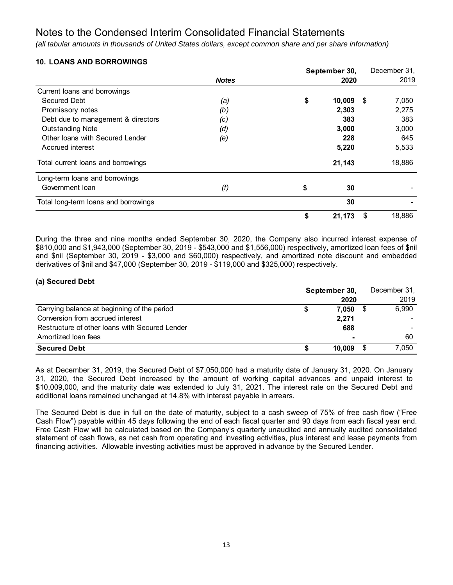*(all tabular amounts in thousands of United States dollars, except common share and per share information)*

# **10. LOANS AND BORROWINGS**

|                                      |              | September 30, |    | December 31, |
|--------------------------------------|--------------|---------------|----|--------------|
|                                      | <b>Notes</b> | 2020          |    | 2019         |
| Current loans and borrowings         |              |               |    |              |
| Secured Debt                         | (a)          | \$<br>10,009  | \$ | 7,050        |
| Promissory notes                     | (b)          | 2,303         |    | 2,275        |
| Debt due to management & directors   | (c)          | 383           |    | 383          |
| <b>Outstanding Note</b>              | (d)          | 3,000         |    | 3,000        |
| Other Ioans with Secured Lender      | (e)          | 228           |    | 645          |
| Accrued interest                     |              | 5,220         |    | 5,533        |
| Total current loans and borrowings   |              | 21,143        |    | 18,886       |
| Long-term loans and borrowings       |              |               |    |              |
| Government Ioan                      | (f)          | \$<br>30      |    |              |
| Total long-term loans and borrowings |              | 30            |    |              |
|                                      |              | \$<br>21,173  | S  | 18,886       |

During the three and nine months ended September 30, 2020, the Company also incurred interest expense of \$810,000 and \$1,943,000 (September 30, 2019 - \$543,000 and \$1,556,000) respectively, amortized loan fees of \$nil and \$nil (September 30, 2019 - \$3,000 and \$60,000) respectively, and amortized note discount and embedded derivatives of \$nil and \$47,000 (September 30, 2019 - \$119,000 and \$325,000) respectively.

# **(a) Secured Debt**

|                                                | September 30, |        |  | December 31, |
|------------------------------------------------|---------------|--------|--|--------------|
|                                                |               | 2020   |  | 2019         |
| Carrying balance at beginning of the period    |               | 7.050  |  | 6,990        |
| Conversion from accrued interest               |               | 2,271  |  |              |
| Restructure of other loans with Secured Lender |               | 688    |  |              |
| Amortized loan fees                            |               | ٠      |  | 60           |
| <b>Secured Debt</b>                            |               | 10.009 |  | 7,050        |

As at December 31, 2019, the Secured Debt of \$7,050,000 had a maturity date of January 31, 2020. On January 31, 2020, the Secured Debt increased by the amount of working capital advances and unpaid interest to \$10,009,000, and the maturity date was extended to July 31, 2021. The interest rate on the Secured Debt and additional loans remained unchanged at 14.8% with interest payable in arrears.

The Secured Debt is due in full on the date of maturity, subject to a cash sweep of 75% of free cash flow ("Free Cash Flow") payable within 45 days following the end of each fiscal quarter and 90 days from each fiscal year end. Free Cash Flow will be calculated based on the Company's quarterly unaudited and annually audited consolidated statement of cash flows, as net cash from operating and investing activities, plus interest and lease payments from financing activities. Allowable investing activities must be approved in advance by the Secured Lender.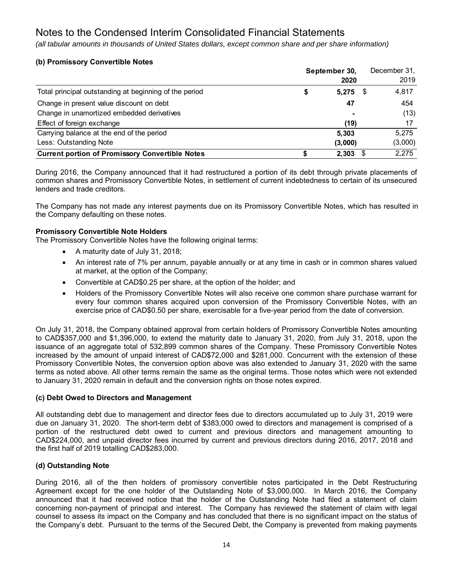*(all tabular amounts in thousands of United States dollars, except common share and per share information)*

# **(b) Promissory Convertible Notes**

|                                                        | September 30, |         |    | December 31, |
|--------------------------------------------------------|---------------|---------|----|--------------|
|                                                        |               | 2020    |    | 2019         |
| Total principal outstanding at beginning of the period | S             | 5,275   | \$ | 4,817        |
| Change in present value discount on debt               |               | 47      |    | 454          |
| Change in unamortized embedded derivatives             |               |         |    | (13)         |
| Effect of foreign exchange                             |               | (19)    |    |              |
| Carrying balance at the end of the period              |               | 5.303   |    | 5.275        |
| Less: Outstanding Note                                 |               | (3,000) |    | (3,000)      |
| <b>Current portion of Promissory Convertible Notes</b> |               | 2.303   | \$ | 2,275        |

During 2016, the Company announced that it had restructured a portion of its debt through private placements of common shares and Promissory Convertible Notes, in settlement of current indebtedness to certain of its unsecured lenders and trade creditors.

The Company has not made any interest payments due on its Promissory Convertible Notes, which has resulted in the Company defaulting on these notes.

# **Promissory Convertible Note Holders**

The Promissory Convertible Notes have the following original terms:

- A maturity date of July 31, 2018;
- An interest rate of 7% per annum, payable annually or at any time in cash or in common shares valued at market, at the option of the Company;
- Convertible at CAD\$0.25 per share, at the option of the holder; and
- Holders of the Promissory Convertible Notes will also receive one common share purchase warrant for every four common shares acquired upon conversion of the Promissory Convertible Notes, with an exercise price of CAD\$0.50 per share, exercisable for a five-year period from the date of conversion.

On July 31, 2018, the Company obtained approval from certain holders of Promissory Convertible Notes amounting to CAD\$357,000 and \$1,396,000, to extend the maturity date to January 31, 2020, from July 31, 2018, upon the issuance of an aggregate total of 532,899 common shares of the Company. These Promissory Convertible Notes increased by the amount of unpaid interest of CAD\$72,000 and \$281,000. Concurrent with the extension of these Promissory Convertible Notes, the conversion option above was also extended to January 31, 2020 with the same terms as noted above. All other terms remain the same as the original terms. Those notes which were not extended to January 31, 2020 remain in default and the conversion rights on those notes expired.

### **(c) Debt Owed to Directors and Management**

All outstanding debt due to management and director fees due to directors accumulated up to July 31, 2019 were due on January 31, 2020. The short-term debt of \$383,000 owed to directors and management is comprised of a portion of the restructured debt owed to current and previous directors and management amounting to CAD\$224,000, and unpaid director fees incurred by current and previous directors during 2016, 2017, 2018 and the first half of 2019 totalling CAD\$283,000.

# **(d) Outstanding Note**

During 2016, all of the then holders of promissory convertible notes participated in the Debt Restructuring Agreement except for the one holder of the Outstanding Note of \$3,000,000. In March 2016, the Company announced that it had received notice that the holder of the Outstanding Note had filed a statement of claim concerning non-payment of principal and interest. The Company has reviewed the statement of claim with legal counsel to assess its impact on the Company and has concluded that there is no significant impact on the status of the Company's debt. Pursuant to the terms of the Secured Debt, the Company is prevented from making payments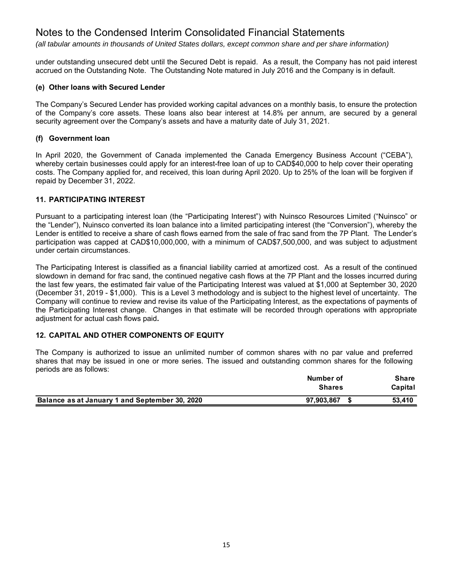*(all tabular amounts in thousands of United States dollars, except common share and per share information)*

under outstanding unsecured debt until the Secured Debt is repaid. As a result, the Company has not paid interest accrued on the Outstanding Note. The Outstanding Note matured in July 2016 and the Company is in default.

### **(e) Other loans with Secured Lender**

The Company's Secured Lender has provided working capital advances on a monthly basis, to ensure the protection of the Company's core assets. These loans also bear interest at 14.8% per annum, are secured by a general security agreement over the Company's assets and have a maturity date of July 31, 2021.

# **(f) Government loan**

In April 2020, the Government of Canada implemented the Canada Emergency Business Account ("CEBA"), whereby certain businesses could apply for an interest-free loan of up to CAD\$40,000 to help cover their operating costs. The Company applied for, and received, this loan during April 2020. Up to 25% of the loan will be forgiven if repaid by December 31, 2022.

# **11. PARTICIPATING INTEREST**

Pursuant to a participating interest loan (the "Participating Interest") with Nuinsco Resources Limited ("Nuinsco" or the "Lender"), Nuinsco converted its loan balance into a limited participating interest (the "Conversion"), whereby the Lender is entitled to receive a share of cash flows earned from the sale of frac sand from the 7P Plant. The Lender's participation was capped at CAD\$10,000,000, with a minimum of CAD\$7,500,000, and was subject to adjustment under certain circumstances.

The Participating Interest is classified as a financial liability carried at amortized cost. As a result of the continued slowdown in demand for frac sand, the continued negative cash flows at the 7P Plant and the losses incurred during the last few years, the estimated fair value of the Participating Interest was valued at \$1,000 at September 30, 2020 (December 31, 2019 - \$1,000). This is a Level 3 methodology and is subject to the highest level of uncertainty. The Company will continue to review and revise its value of the Participating Interest, as the expectations of payments of the Participating Interest change. Changes in that estimate will be recorded through operations with appropriate adjustment for actual cash flows paid**.** 

# **12. CAPITAL AND OTHER COMPONENTS OF EQUITY**

The Company is authorized to issue an unlimited number of common shares with no par value and preferred shares that may be issued in one or more series. The issued and outstanding common shares for the following periods are as follows:

|                                                | Number of     | Share   |
|------------------------------------------------|---------------|---------|
|                                                | <b>Shares</b> | Capital |
| Balance as at January 1 and September 30, 2020 | 97,903,867    | 53.410  |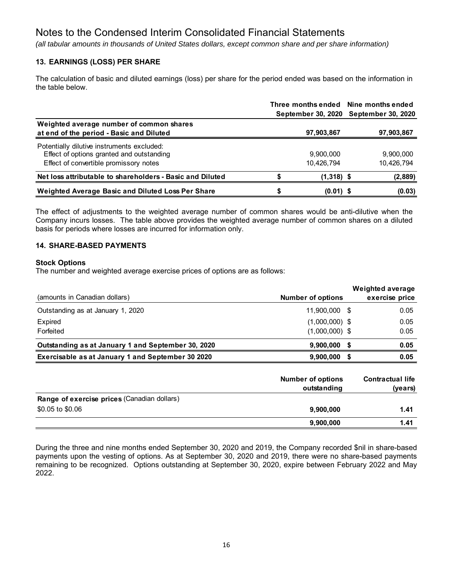*(all tabular amounts in thousands of United States dollars, except common share and per share information)*

# **13. EARNINGS (LOSS) PER SHARE**

The calculation of basic and diluted earnings (loss) per share for the period ended was based on the information in the table below.

|                                                                                                                                   |                         | Three months ended Nine months ended<br>September 30, 2020 September 30, 2020 |
|-----------------------------------------------------------------------------------------------------------------------------------|-------------------------|-------------------------------------------------------------------------------|
| Weighted average number of common shares<br>at end of the period - Basic and Diluted                                              | 97,903,867              | 97,903,867                                                                    |
| Potentially dilutive instruments excluded:<br>Effect of options granted and outstanding<br>Effect of convertible promissory notes | 9,900,000<br>10,426,794 | 9,900,000<br>10,426,794                                                       |
| Net loss attributable to shareholders - Basic and Diluted                                                                         | $(1,318)$ \$            | (2,889)                                                                       |
| Weighted Average Basic and Diluted Loss Per Share                                                                                 | $(0.01)$ \$             | (0.03)                                                                        |

The effect of adjustments to the weighted average number of common shares would be anti-dilutive when the Company incurs losses. The table above provides the weighted average number of common shares on a diluted basis for periods where losses are incurred for information only.

# **14. SHARE-BASED PAYMENTS**

### **Stock Options**

The number and weighted average exercise prices of options are as follows:

|                                                    |                                         | <b>Weighted average</b>            |
|----------------------------------------------------|-----------------------------------------|------------------------------------|
| (amounts in Canadian dollars)                      | <b>Number of options</b>                | exercise price                     |
| Outstanding as at January 1, 2020                  | 11.900.000 \$                           | 0.05                               |
| Expired                                            | $(1,000,000)$ \$                        | 0.05                               |
| Forfeited                                          | $(1,000,000)$ \$                        | 0.05                               |
| Outstanding as at January 1 and September 30, 2020 | 9,900,000                               | \$<br>0.05                         |
| Exercisable as at January 1 and September 30 2020  | 9,900,000                               | \$<br>0.05                         |
|                                                    | <b>Number of options</b><br>outstanding | <b>Contractual life</b><br>(years) |
| Range of exercise prices (Canadian dollars)        |                                         |                                    |
| \$0.05 to \$0.06                                   | 9,900,000                               | 1.41                               |
|                                                    | 9,900,000                               | 1.41                               |

During the three and nine months ended September 30, 2020 and 2019, the Company recorded \$nil in share-based payments upon the vesting of options. As at September 30, 2020 and 2019, there were no share-based payments remaining to be recognized. Options outstanding at September 30, 2020, expire between February 2022 and May 2022.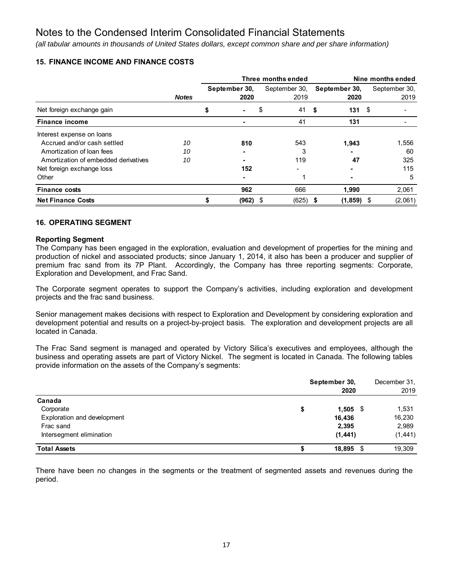*(all tabular amounts in thousands of United States dollars, except common share and per share information)*

# **15. FINANCE INCOME AND FINANCE COSTS**

|                                      |              | Three months ended |               |    |               | Nine months ended |      |               |  |  |
|--------------------------------------|--------------|--------------------|---------------|----|---------------|-------------------|------|---------------|--|--|
|                                      |              |                    | September 30, |    | September 30, | September 30,     |      | September 30, |  |  |
|                                      | <b>Notes</b> |                    | 2020          |    | 2019          | 2020              |      | 2019          |  |  |
| Net foreign exchange gain            |              |                    |               | \$ | 41            | 131<br>\$         | - \$ |               |  |  |
| <b>Finance income</b>                |              |                    |               |    | 41            | 131               |      |               |  |  |
| Interest expense on loans            |              |                    |               |    |               |                   |      |               |  |  |
| Accrued and/or cash settled          | 10           |                    | 810           |    | 543           | 1,943             |      | 1,556         |  |  |
| Amortization of loan fees            | 10           |                    |               |    | 3             |                   |      | 60            |  |  |
| Amortization of embedded derivatives | 10           |                    |               |    | 119           | 47                |      | 325           |  |  |
| Net foreign exchange loss            |              |                    | 152           |    |               |                   |      | 115           |  |  |
| Other                                |              |                    |               |    | 1             |                   |      | 5             |  |  |
| <b>Finance costs</b>                 |              |                    | 962           |    | 666           | 1,990             |      | 2.061         |  |  |
| <b>Net Finance Costs</b>             |              |                    | (962)         | \$ | (625)         | (1, 859)<br>S     | S    | (2,061)       |  |  |

# **16. OPERATING SEGMENT**

### **Reporting Segment**

The Company has been engaged in the exploration, evaluation and development of properties for the mining and production of nickel and associated products; since January 1, 2014, it also has been a producer and supplier of premium frac sand from its 7P Plant. Accordingly, the Company has three reporting segments: Corporate, Exploration and Development, and Frac Sand.

The Corporate segment operates to support the Company's activities, including exploration and development projects and the frac sand business.

Senior management makes decisions with respect to Exploration and Development by considering exploration and development potential and results on a project-by-project basis. The exploration and development projects are all located in Canada.

The Frac Sand segment is managed and operated by Victory Silica's executives and employees, although the business and operating assets are part of Victory Nickel. The segment is located in Canada. The following tables provide information on the assets of the Company's segments:

|                             | September 30,<br>2020 |          |  |  |  |
|-----------------------------|-----------------------|----------|--|--|--|
| Canada                      |                       |          |  |  |  |
| Corporate                   | \$<br>$1,505$ \$      | 1,531    |  |  |  |
| Exploration and development | 16,436                | 16,230   |  |  |  |
| Frac sand                   | 2,395                 | 2,989    |  |  |  |
| Intersegment elimination    | (1, 441)              | (1, 441) |  |  |  |
| <b>Total Assets</b>         | 18,895 \$             | 19.309   |  |  |  |

There have been no changes in the segments or the treatment of segmented assets and revenues during the period.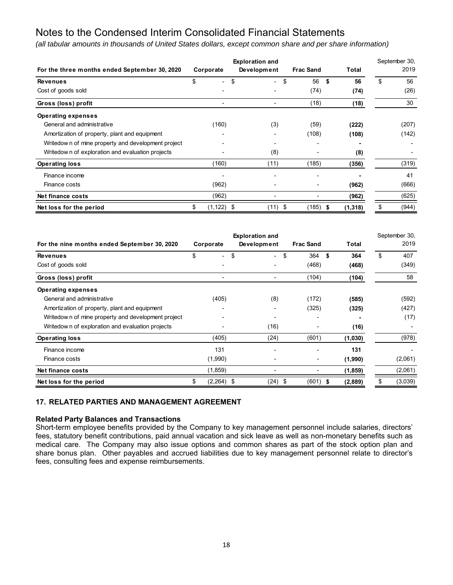*(all tabular amounts in thousands of United States dollars, except common share and per share information)*

|                                                    |    |                          | <b>Exploration and</b>         |                     |          | September 30, |
|----------------------------------------------------|----|--------------------------|--------------------------------|---------------------|----------|---------------|
| For the three months ended September 30, 2020      |    | Corporate                | Development                    | <b>Frac Sand</b>    | Total    | 2019          |
| <b>Revenues</b>                                    | \$ | $\overline{\phantom{0}}$ | \$<br>$\overline{\phantom{0}}$ | \$<br>56<br>\$      | 56       | \$<br>56      |
| Cost of goods sold                                 |    |                          |                                | (74)                | (74)     | (26)          |
| Gross (loss) profit                                |    |                          |                                | (18)                | (18)     | 30            |
| <b>Operating expenses</b>                          |    |                          |                                |                     |          |               |
| General and administrative                         |    | (160)                    | (3)                            | (59)                | (222)    | (207)         |
| Amortization of property, plant and equipment      |    |                          |                                | (108)               | (108)    | (142)         |
| Writedown of mine property and development project |    |                          |                                |                     |          |               |
| Writedow n of exploration and evaluation projects  |    |                          | (8)                            |                     | (8)      |               |
| <b>Operating loss</b>                              |    | (160)                    | (11)                           | (185)               | (356)    | (319)         |
| Finance income                                     |    |                          |                                |                     |          | 41            |
| Finance costs                                      |    | (962)                    |                                |                     | (962)    | (666)         |
| Net finance costs                                  |    | (962)                    |                                |                     | (962)    | (625)         |
| Net loss for the period                            | \$ | $(1, 122)$ \$            | (11)                           | \$<br>(185)<br>- \$ | (1, 318) | \$<br>(944)   |

| For the nine months ended September 30, 2020       | Corporate          | <b>Exploration and</b><br>Development | <b>Frac Sand</b> | <b>Total</b> | September 30,<br>2019 |
|----------------------------------------------------|--------------------|---------------------------------------|------------------|--------------|-----------------------|
| <b>Revenues</b>                                    | \$                 | \$<br>$\overline{\phantom{0}}$        | 364<br>\$        | \$<br>364    | \$<br>407             |
| Cost of goods sold                                 |                    |                                       | (468)            | (468)        | (349)                 |
| Gross (loss) profit                                |                    |                                       | (104)            | (104)        | 58                    |
| <b>Operating expenses</b>                          |                    |                                       |                  |              |                       |
| General and administrative                         | (405)              | (8)                                   | (172)            | (585)        | (592)                 |
| Amortization of property, plant and equipment      |                    |                                       | (325)            | (325)        | (427)                 |
| Writedown of mine property and development project |                    |                                       |                  |              | (17)                  |
| Writedow n of exploration and evaluation projects  |                    | (16)                                  |                  | (16)         |                       |
| <b>Operating loss</b>                              | (405)              | (24)                                  | (601)            | (1,030)      | (978)                 |
| Finance income                                     | 131                |                                       |                  | 131          |                       |
| Finance costs                                      | (1,990)            |                                       |                  | (1,990)      | (2,061)               |
| Net finance costs                                  | (1, 859)           |                                       |                  | (1, 859)     | (2,061)               |
| Net loss for the period                            | $(2,264)$ \$<br>\$ | (24)                                  | \$<br>$(601)$ \$ | (2,889)      | \$<br>(3,039)         |

# **17. RELATED PARTIES AND MANAGEMENT AGREEMENT**

### **Related Party Balances and Transactions**

Short-term employee benefits provided by the Company to key management personnel include salaries, directors' fees, statutory benefit contributions, paid annual vacation and sick leave as well as non-monetary benefits such as medical care. The Company may also issue options and common shares as part of the stock option plan and share bonus plan. Other payables and accrued liabilities due to key management personnel relate to director's fees, consulting fees and expense reimbursements.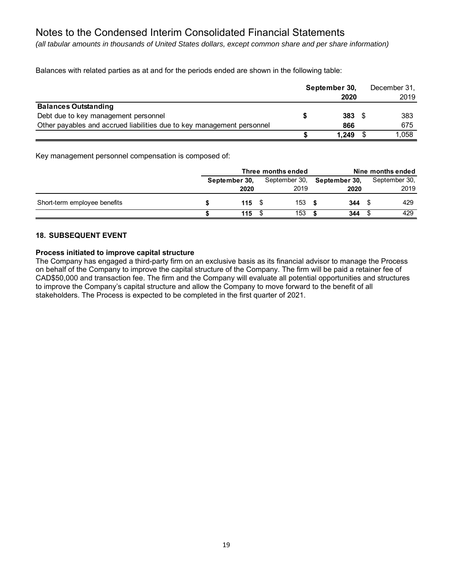*(all tabular amounts in thousands of United States dollars, except common share and per share information)*

Balances with related parties as at and for the periods ended are shown in the following table:

|                                                                        | September 30, | December 31, |
|------------------------------------------------------------------------|---------------|--------------|
|                                                                        | 2020          | 2019         |
| <b>Balances Outstanding</b>                                            |               |              |
| Debt due to key management personnel                                   | $383 \t{5}$   | 383          |
| Other payables and accrued liabilities due to key management personnel | 866           | 675          |
|                                                                        | 1.249         | 1,058        |

Key management personnel compensation is composed of:

|                              |               | Three months ended | Nine months ended |                                    |  |               |
|------------------------------|---------------|--------------------|-------------------|------------------------------------|--|---------------|
|                              | September 30. |                    |                   | September 30, <b>September 30,</b> |  | September 30, |
|                              | 2020          |                    | 2019              | 2020                               |  | 2019          |
| Short-term employee benefits |               | 115S               | 153               | 344                                |  | 429           |
|                              | 115           |                    | 153               | 344                                |  | 429           |

# **18. SUBSEQUENT EVENT**

### **Process initiated to improve capital structure**

The Company has engaged a third-party firm on an exclusive basis as its financial advisor to manage the Process on behalf of the Company to improve the capital structure of the Company. The firm will be paid a retainer fee of CAD\$50,000 and transaction fee. The firm and the Company will evaluate all potential opportunities and structures to improve the Company's capital structure and allow the Company to move forward to the benefit of all stakeholders. The Process is expected to be completed in the first quarter of 2021.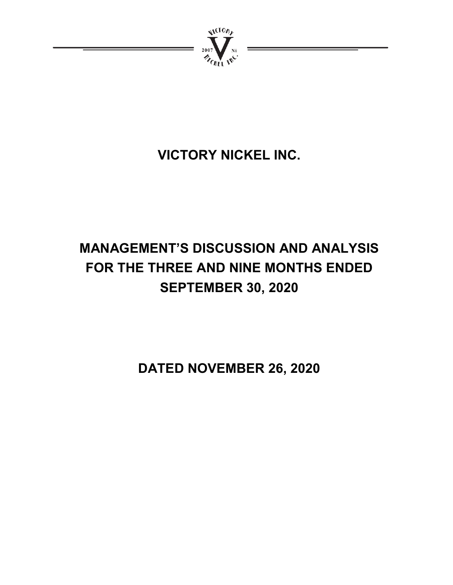

# **VICTORY NICKEL INC.**

# **MANAGEMENT'S DISCUSSION AND ANALYSIS FOR THE THREE AND NINE MONTHS ENDED SEPTEMBER 30, 2020**

**DATED NOVEMBER 26, 2020**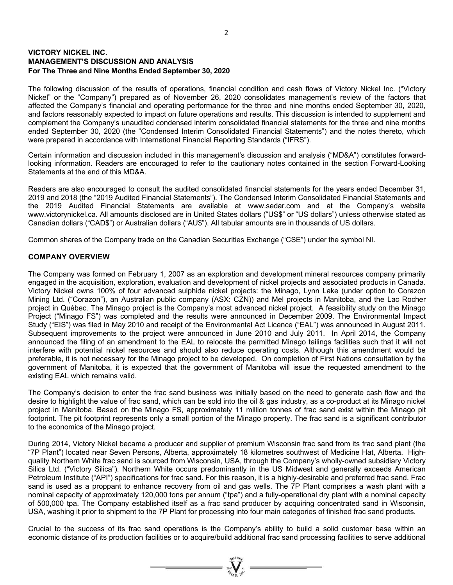# **VICTORY NICKEL INC. MANAGEMENT'S DISCUSSION AND ANALYSIS For The Three and Nine Months Ended September 30, 2020**

The following discussion of the results of operations, financial condition and cash flows of Victory Nickel Inc. ("Victory Nickel" or the "Company") prepared as of November 26, 2020 consolidates management's review of the factors that affected the Company's financial and operating performance for the three and nine months ended September 30, 2020, and factors reasonably expected to impact on future operations and results. This discussion is intended to supplement and complement the Company's unaudited condensed interim consolidated financial statements for the three and nine months ended September 30, 2020 (the "Condensed Interim Consolidated Financial Statements") and the notes thereto, which were prepared in accordance with International Financial Reporting Standards ("IFRS").

Certain information and discussion included in this management's discussion and analysis ("MD&A") constitutes forwardlooking information. Readers are encouraged to refer to the cautionary notes contained in the section Forward-Looking Statements at the end of this MD&A.

Readers are also encouraged to consult the audited consolidated financial statements for the years ended December 31, 2019 and 2018 (the "2019 Audited Financial Statements"). The Condensed Interim Consolidated Financial Statements and the 2019 Audited Financial Statements are available at www.sedar.com and at the Company's website www.victorynickel.ca. All amounts disclosed are in United States dollars ("US\$" or "US dollars") unless otherwise stated as Canadian dollars ("CAD\$") or Australian dollars ("AU\$"). All tabular amounts are in thousands of US dollars.

Common shares of the Company trade on the Canadian Securities Exchange ("CSE") under the symbol NI.

# **COMPANY OVERVIEW**

The Company was formed on February 1, 2007 as an exploration and development mineral resources company primarily engaged in the acquisition, exploration, evaluation and development of nickel projects and associated products in Canada. Victory Nickel owns 100% of four advanced sulphide nickel projects: the Minago, Lynn Lake (under option to Corazon Mining Ltd. ("Corazon"), an Australian public company (ASX: CZN)) and Mel projects in Manitoba, and the Lac Rocher project in Québec. The Minago project is the Company's most advanced nickel project. A feasibility study on the Minago Project ("Minago FS") was completed and the results were announced in December 2009. The Environmental Impact Study ("EIS") was filed in May 2010 and receipt of the Environmental Act Licence ("EAL") was announced in August 2011. Subsequent improvements to the project were announced in June 2010 and July 2011. In April 2014, the Company announced the filing of an amendment to the EAL to relocate the permitted Minago tailings facilities such that it will not interfere with potential nickel resources and should also reduce operating costs. Although this amendment would be preferable, it is not necessary for the Minago project to be developed. On completion of First Nations consultation by the government of Manitoba, it is expected that the government of Manitoba will issue the requested amendment to the existing EAL which remains valid.

The Company's decision to enter the frac sand business was initially based on the need to generate cash flow and the desire to highlight the value of frac sand, which can be sold into the oil & gas industry, as a co-product at its Minago nickel project in Manitoba. Based on the Minago FS, approximately 11 million tonnes of frac sand exist within the Minago pit footprint. The pit footprint represents only a small portion of the Minago property. The frac sand is a significant contributor to the economics of the Minago project.

During 2014, Victory Nickel became a producer and supplier of premium Wisconsin frac sand from its frac sand plant (the "7P Plant") located near Seven Persons, Alberta, approximately 18 kilometres southwest of Medicine Hat, Alberta. Highquality Northern White frac sand is sourced from Wisconsin, USA, through the Company's wholly-owned subsidiary Victory Silica Ltd. ("Victory Silica"). Northern White occurs predominantly in the US Midwest and generally exceeds American Petroleum Institute ("API") specifications for frac sand. For this reason, it is a highly-desirable and preferred frac sand. Frac sand is used as a proppant to enhance recovery from oil and gas wells. The 7P Plant comprises a wash plant with a nominal capacity of approximately 120,000 tons per annum ("tpa") and a fully-operational dry plant with a nominal capacity of 500,000 tpa. The Company established itself as a frac sand producer by acquiring concentrated sand in Wisconsin, USA, washing it prior to shipment to the 7P Plant for processing into four main categories of finished frac sand products.

Crucial to the success of its frac sand operations is the Company's ability to build a solid customer base within an economic distance of its production facilities or to acquire/build additional frac sand processing facilities to serve additional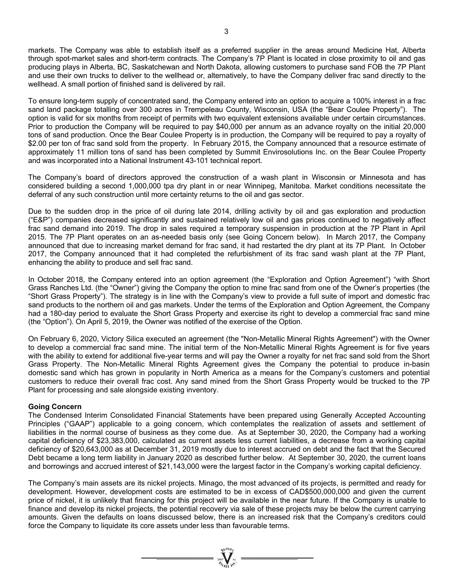markets. The Company was able to establish itself as a preferred supplier in the areas around Medicine Hat, Alberta through spot-market sales and short-term contracts. The Company's 7P Plant is located in close proximity to oil and gas producing plays in Alberta, BC, Saskatchewan and North Dakota, allowing customers to purchase sand FOB the 7P Plant and use their own trucks to deliver to the wellhead or, alternatively, to have the Company deliver frac sand directly to the wellhead. A small portion of finished sand is delivered by rail.

To ensure long-term supply of concentrated sand, the Company entered into an option to acquire a 100% interest in a frac sand land package totalling over 300 acres in Trempeleau County, Wisconsin, USA (the "Bear Coulee Property"). The option is valid for six months from receipt of permits with two equivalent extensions available under certain circumstances. Prior to production the Company will be required to pay \$40,000 per annum as an advance royalty on the initial 20,000 tons of sand production. Once the Bear Coulee Property is in production, the Company will be required to pay a royalty of \$2.00 per ton of frac sand sold from the property. In February 2015, the Company announced that a resource estimate of approximately 11 million tons of sand has been completed by Summit Envirosolutions Inc. on the Bear Coulee Property and was incorporated into a National Instrument 43-101 technical report.

The Company's board of directors approved the construction of a wash plant in Wisconsin or Minnesota and has considered building a second 1,000,000 tpa dry plant in or near Winnipeg, Manitoba. Market conditions necessitate the deferral of any such construction until more certainty returns to the oil and gas sector.

Due to the sudden drop in the price of oil during late 2014, drilling activity by oil and gas exploration and production ("E&P") companies decreased significantly and sustained relatively low oil and gas prices continued to negatively affect frac sand demand into 2019. The drop in sales required a temporary suspension in production at the 7P Plant in April 2015. The 7P Plant operates on an as-needed basis only (see Going Concern below). In March 2017, the Company announced that due to increasing market demand for frac sand, it had restarted the dry plant at its 7P Plant. In October 2017, the Company announced that it had completed the refurbishment of its frac sand wash plant at the 7P Plant, enhancing the ability to produce and sell frac sand.

In October 2018, the Company entered into an option agreement (the "Exploration and Option Agreement") "with Short Grass Ranches Ltd. (the "Owner") giving the Company the option to mine frac sand from one of the Owner's properties (the "Short Grass Property"). The strategy is in line with the Company's view to provide a full suite of import and domestic frac sand products to the northern oil and gas markets. Under the terms of the Exploration and Option Agreement, the Company had a 180-day period to evaluate the Short Grass Property and exercise its right to develop a commercial frac sand mine (the "Option"). On April 5, 2019, the Owner was notified of the exercise of the Option.

On February 6, 2020, Victory Silica executed an agreement (the "Non-Metallic Mineral Rights Agreement") with the Owner to develop a commercial frac sand mine. The initial term of the Non-Metallic Mineral Rights Agreement is for five years with the ability to extend for additional five-year terms and will pay the Owner a royalty for net frac sand sold from the Short Grass Property. The Non-Metallic Mineral Rights Agreement gives the Company the potential to produce in-basin domestic sand which has grown in popularity in North America as a means for the Company's customers and potential customers to reduce their overall frac cost. Any sand mined from the Short Grass Property would be trucked to the 7P Plant for processing and sale alongside existing inventory.

### **Going Concern**

The Condensed Interim Consolidated Financial Statements have been prepared using Generally Accepted Accounting Principles ("GAAP") applicable to a going concern, which contemplates the realization of assets and settlement of liabilities in the normal course of business as they come due. As at September 30, 2020, the Company had a working capital deficiency of \$23,383,000, calculated as current assets less current liabilities, a decrease from a working capital deficiency of \$20,643,000 as at December 31, 2019 mostly due to interest accrued on debt and the fact that the Secured Debt became a long term liability in January 2020 as described further below. At September 30, 2020, the current loans and borrowings and accrued interest of \$21,143,000 were the largest factor in the Company's working capital deficiency.

The Company's main assets are its nickel projects. Minago, the most advanced of its projects, is permitted and ready for development. However, development costs are estimated to be in excess of CAD\$500,000,000 and given the current price of nickel, it is unlikely that financing for this project will be available in the near future. If the Company is unable to finance and develop its nickel projects, the potential recovery via sale of these projects may be below the current carrying amounts. Given the defaults on loans discussed below, there is an increased risk that the Company's creditors could force the Company to liquidate its core assets under less than favourable terms.

 $\sum_{n=1}^{\infty} \sum_{n=1}^{\infty}$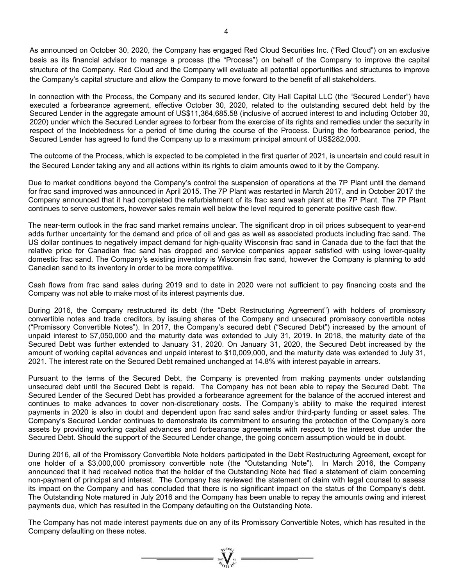As announced on October 30, 2020, the Company has engaged Red Cloud Securities Inc. ("Red Cloud") on an exclusive basis as its financial advisor to manage a process (the "Process") on behalf of the Company to improve the capital structure of the Company. Red Cloud and the Company will evaluate all potential opportunities and structures to improve the Company's capital structure and allow the Company to move forward to the benefit of all stakeholders.

In connection with the Process, the Company and its secured lender, City Hall Capital LLC (the "Secured Lender") have executed a forbearance agreement, effective October 30, 2020, related to the outstanding secured debt held by the Secured Lender in the aggregate amount of US\$11,364,685.58 (inclusive of accrued interest to and including October 30, 2020) under which the Secured Lender agrees to forbear from the exercise of its rights and remedies under the security in respect of the Indebtedness for a period of time during the course of the Process. During the forbearance period, the Secured Lender has agreed to fund the Company up to a maximum principal amount of US\$282,000.

The outcome of the Process, which is expected to be completed in the first quarter of 2021, is uncertain and could result in the Secured Lender taking any and all actions within its rights to claim amounts owed to it by the Company.

Due to market conditions beyond the Company's control the suspension of operations at the 7P Plant until the demand for frac sand improved was announced in April 2015. The 7P Plant was restarted in March 2017, and in October 2017 the Company announced that it had completed the refurbishment of its frac sand wash plant at the 7P Plant. The 7P Plant continues to serve customers, however sales remain well below the level required to generate positive cash flow.

The near-term outlook in the frac sand market remains unclear. The significant drop in oil prices subsequent to year-end adds further uncertainty for the demand and price of oil and gas as well as associated products including frac sand. The US dollar continues to negatively impact demand for high-quality Wisconsin frac sand in Canada due to the fact that the relative price for Canadian frac sand has dropped and service companies appear satisfied with using lower-quality domestic frac sand. The Company's existing inventory is Wisconsin frac sand, however the Company is planning to add Canadian sand to its inventory in order to be more competitive.

Cash flows from frac sand sales during 2019 and to date in 2020 were not sufficient to pay financing costs and the Company was not able to make most of its interest payments due.

During 2016, the Company restructured its debt (the "Debt Restructuring Agreement") with holders of promissory convertible notes and trade creditors, by issuing shares of the Company and unsecured promissory convertible notes ("Promissory Convertible Notes"). In 2017, the Company's secured debt ("Secured Debt") increased by the amount of unpaid interest to \$7,050,000 and the maturity date was extended to July 31, 2019. In 2018, the maturity date of the Secured Debt was further extended to January 31, 2020. On January 31, 2020, the Secured Debt increased by the amount of working capital advances and unpaid interest to \$10,009,000, and the maturity date was extended to July 31, 2021. The interest rate on the Secured Debt remained unchanged at 14.8% with interest payable in arrears.

Pursuant to the terms of the Secured Debt, the Company is prevented from making payments under outstanding unsecured debt until the Secured Debt is repaid. The Company has not been able to repay the Secured Debt. The Secured Lender of the Secured Debt has provided a forbearance agreement for the balance of the accrued interest and continues to make advances to cover non-discretionary costs. The Company's ability to make the required interest payments in 2020 is also in doubt and dependent upon frac sand sales and/or third-party funding or asset sales. The Company's Secured Lender continues to demonstrate its commitment to ensuring the protection of the Company's core assets by providing working capital advances and forbearance agreements with respect to the interest due under the Secured Debt. Should the support of the Secured Lender change, the going concern assumption would be in doubt.

During 2016, all of the Promissory Convertible Note holders participated in the Debt Restructuring Agreement, except for one holder of a \$3,000,000 promissory convertible note (the "Outstanding Note"). In March 2016, the Company announced that it had received notice that the holder of the Outstanding Note had filed a statement of claim concerning non-payment of principal and interest. The Company has reviewed the statement of claim with legal counsel to assess its impact on the Company and has concluded that there is no significant impact on the status of the Company's debt. The Outstanding Note matured in July 2016 and the Company has been unable to repay the amounts owing and interest payments due, which has resulted in the Company defaulting on the Outstanding Note.

The Company has not made interest payments due on any of its Promissory Convertible Notes, which has resulted in the Company defaulting on these notes.

 $\sum_{n=1}^{\infty} \sum_{n=1}^{\infty}$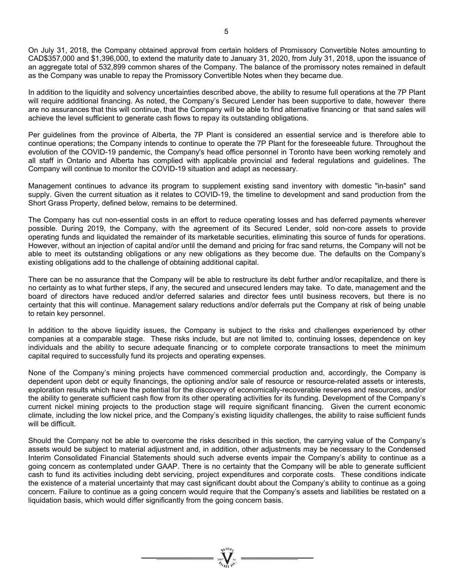On July 31, 2018, the Company obtained approval from certain holders of Promissory Convertible Notes amounting to CAD\$357,000 and \$1,396,000, to extend the maturity date to January 31, 2020, from July 31, 2018, upon the issuance of an aggregate total of 532,899 common shares of the Company. The balance of the promissory notes remained in default as the Company was unable to repay the Promissory Convertible Notes when they became due.

In addition to the liquidity and solvency uncertainties described above, the ability to resume full operations at the 7P Plant will require additional financing. As noted, the Company's Secured Lender has been supportive to date, however there are no assurances that this will continue, that the Company will be able to find alternative financing or that sand sales will achieve the level sufficient to generate cash flows to repay its outstanding obligations.

Per guidelines from the province of Alberta, the 7P Plant is considered an essential service and is therefore able to continue operations; the Company intends to continue to operate the 7P Plant for the foreseeable future. Throughout the evolution of the COVID-19 pandemic, the Company's head office personnel in Toronto have been working remotely and all staff in Ontario and Alberta has complied with applicable provincial and federal regulations and guidelines. The Company will continue to monitor the COVID-19 situation and adapt as necessary.

Management continues to advance its program to supplement existing sand inventory with domestic "in-basin" sand supply. Given the current situation as it relates to COVID-19, the timeline to development and sand production from the Short Grass Property, defined below, remains to be determined.

The Company has cut non-essential costs in an effort to reduce operating losses and has deferred payments wherever possible. During 2019, the Company, with the agreement of its Secured Lender, sold non-core assets to provide operating funds and liquidated the remainder of its marketable securities, eliminating this source of funds for operations. However, without an injection of capital and/or until the demand and pricing for frac sand returns, the Company will not be able to meet its outstanding obligations or any new obligations as they become due. The defaults on the Company's existing obligations add to the challenge of obtaining additional capital.

There can be no assurance that the Company will be able to restructure its debt further and/or recapitalize, and there is no certainty as to what further steps, if any, the secured and unsecured lenders may take. To date, management and the board of directors have reduced and/or deferred salaries and director fees until business recovers, but there is no certainty that this will continue. Management salary reductions and/or deferrals put the Company at risk of being unable to retain key personnel.

In addition to the above liquidity issues, the Company is subject to the risks and challenges experienced by other companies at a comparable stage. These risks include, but are not limited to, continuing losses, dependence on key individuals and the ability to secure adequate financing or to complete corporate transactions to meet the minimum capital required to successfully fund its projects and operating expenses.

None of the Company's mining projects have commenced commercial production and, accordingly, the Company is dependent upon debt or equity financings, the optioning and/or sale of resource or resource-related assets or interests, exploration results which have the potential for the discovery of economically-recoverable reserves and resources, and/or the ability to generate sufficient cash flow from its other operating activities for its funding. Development of the Company's current nickel mining projects to the production stage will require significant financing. Given the current economic climate, including the low nickel price, and the Company's existing liquidity challenges, the ability to raise sufficient funds will be difficult.

Should the Company not be able to overcome the risks described in this section, the carrying value of the Company's assets would be subject to material adjustment and, in addition, other adjustments may be necessary to the Condensed Interim Consolidated Financial Statements should such adverse events impair the Company's ability to continue as a going concern as contemplated under GAAP. There is no certainty that the Company will be able to generate sufficient cash to fund its activities including debt servicing, project expenditures and corporate costs. These conditions indicate the existence of a material uncertainty that may cast significant doubt about the Company's ability to continue as a going concern. Failure to continue as a going concern would require that the Company's assets and liabilities be restated on a liquidation basis, which would differ significantly from the going concern basis.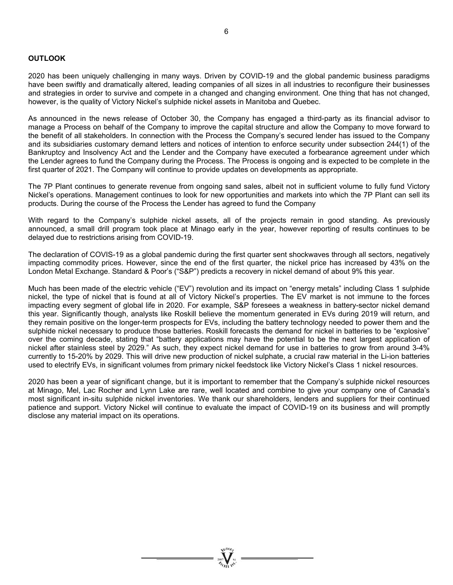### **OUTLOOK**

2020 has been uniquely challenging in many ways. Driven by COVID-19 and the global pandemic business paradigms have been swiftly and dramatically altered, leading companies of all sizes in all industries to reconfigure their businesses and strategies in order to survive and compete in a changed and changing environment. One thing that has not changed, however, is the quality of Victory Nickel's sulphide nickel assets in Manitoba and Quebec.

As announced in the news release of October 30, the Company has engaged a third-party as its financial advisor to manage a Process on behalf of the Company to improve the capital structure and allow the Company to move forward to the benefit of all stakeholders. In connection with the Process the Company's secured lender has issued to the Company and its subsidiaries customary demand letters and notices of intention to enforce security under subsection 244(1) of the Bankruptcy and Insolvency Act and the Lender and the Company have executed a forbearance agreement under which the Lender agrees to fund the Company during the Process. The Process is ongoing and is expected to be complete in the first quarter of 2021. The Company will continue to provide updates on developments as appropriate.

The 7P Plant continues to generate revenue from ongoing sand sales, albeit not in sufficient volume to fully fund Victory Nickel's operations. Management continues to look for new opportunities and markets into which the 7P Plant can sell its products. During the course of the Process the Lender has agreed to fund the Company

With regard to the Company's sulphide nickel assets, all of the projects remain in good standing. As previously announced, a small drill program took place at Minago early in the year, however reporting of results continues to be delayed due to restrictions arising from COVID-19.

The declaration of COVIS-19 as a global pandemic during the first quarter sent shockwaves through all sectors, negatively impacting commodity prices. However, since the end of the first quarter, the nickel price has increased by 43% on the London Metal Exchange. Standard & Poor's ("S&P") predicts a recovery in nickel demand of about 9% this year.

Much has been made of the electric vehicle ("EV") revolution and its impact on "energy metals" including Class 1 sulphide nickel, the type of nickel that is found at all of Victory Nickel's properties. The EV market is not immune to the forces impacting every segment of global life in 2020. For example, S&P foresees a weakness in battery-sector nickel demand this year. Significantly though, analysts like Roskill believe the momentum generated in EVs during 2019 will return, and they remain positive on the longer-term prospects for EVs, including the battery technology needed to power them and the sulphide nickel necessary to produce those batteries. Roskill forecasts the demand for nickel in batteries to be "explosive" over the coming decade, stating that "battery applications may have the potential to be the next largest application of nickel after stainless steel by 2029." As such, they expect nickel demand for use in batteries to grow from around 3-4% currently to 15-20% by 2029. This will drive new production of nickel sulphate, a crucial raw material in the Li-ion batteries used to electrify EVs, in significant volumes from primary nickel feedstock like Victory Nickel's Class 1 nickel resources.

2020 has been a year of significant change, but it is important to remember that the Company's sulphide nickel resources at Minago, Mel, Lac Rocher and Lynn Lake are rare, well located and combine to give your company one of Canada's most significant in-situ sulphide nickel inventories. We thank our shareholders, lenders and suppliers for their continued patience and support. Victory Nickel will continue to evaluate the impact of COVID-19 on its business and will promptly disclose any material impact on its operations.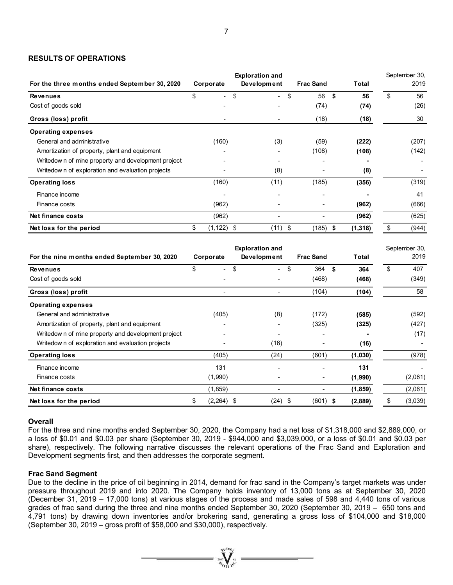### **RESULTS OF OPERATIONS**

| For the three months ended September 30, 2020       | Corporate           | <b>Exploration and</b><br>Development | <b>Frac Sand</b> | <b>Total</b>    | September 30,<br>2019 |
|-----------------------------------------------------|---------------------|---------------------------------------|------------------|-----------------|-----------------------|
| <b>Revenues</b>                                     | \$                  | \$<br>$\sim$                          | \$<br>56         | - \$<br>56      | \$<br>56              |
| Cost of goods sold                                  |                     |                                       | (74)             | (74)            | (26)                  |
| Gross (loss) profit                                 |                     |                                       | (18)             | (18)            | 30                    |
| <b>Operating expenses</b>                           |                     |                                       |                  |                 |                       |
| General and administrative                          | (160)               | (3)                                   | (59)             | (222)           | (207)                 |
| Amortization of property, plant and equipment       |                     |                                       | (108)            | (108)           | (142)                 |
| Writedow n of mine property and development project |                     |                                       |                  |                 |                       |
| Writedow n of exploration and evaluation projects   |                     | (8)                                   |                  | (8)             |                       |
| <b>Operating loss</b>                               | (160)               | (11)                                  | (185)            | (356)           | (319)                 |
| Finance income                                      |                     |                                       | ۰                |                 | 41                    |
| Finance costs                                       | (962)               |                                       |                  | (962)           | (666)                 |
| Net finance costs                                   | (962)               |                                       |                  | (962)           | (625)                 |
| Net loss for the period                             | $(1, 122)$ \$<br>S. | (11) \$                               | (185)            | (1,318)<br>- 56 | (944)                 |

|                                                    |    | <b>Exploration and</b>   |    |                          |    |                  |      |              | September 30, |         |
|----------------------------------------------------|----|--------------------------|----|--------------------------|----|------------------|------|--------------|---------------|---------|
| For the nine months ended September 30, 2020       |    | Corporate                |    | Development              |    | <b>Frac Sand</b> |      | <b>Total</b> |               | 2019    |
| <b>Revenues</b>                                    | \$ | $\overline{\phantom{0}}$ | \$ | $\overline{\phantom{0}}$ | \$ | 364              | \$   | 364          | \$            | 407     |
| Cost of goods sold                                 |    |                          |    |                          |    | (468)            |      | (468)        |               | (349)   |
| Gross (loss) profit                                |    |                          |    |                          |    | (104)            |      | (104)        |               | 58      |
| <b>Operating expenses</b>                          |    |                          |    |                          |    |                  |      |              |               |         |
| General and administrative                         |    | (405)                    |    | (8)                      |    | (172)            |      | (585)        |               | (592)   |
| Amortization of property, plant and equipment      |    |                          |    |                          |    | (325)            |      | (325)        |               | (427)   |
| Writedown of mine property and development project |    |                          |    |                          |    |                  |      |              |               | (17)    |
| Writedow n of exploration and evaluation projects  |    |                          |    | (16)                     |    |                  |      | (16)         |               |         |
| <b>Operating loss</b>                              |    | (405)                    |    | (24)                     |    | (601)            |      | (1,030)      |               | (978)   |
| Finance income                                     |    | 131                      |    |                          |    |                  |      | 131          |               |         |
| Finance costs                                      |    | (1,990)                  |    |                          |    | -                |      | (1,990)      |               | (2,061) |
| Net finance costs                                  |    | (1, 859)                 |    |                          |    |                  |      | (1,859)      |               | (2,061) |
| Net loss for the period                            | \$ | $(2,264)$ \$             |    | (24)                     | \$ | (601)            | - \$ | (2,889)      | \$            | (3,039) |

### **Overall**

For the three and nine months ended September 30, 2020, the Company had a net loss of \$1,318,000 and \$2,889,000, or a loss of \$0.01 and \$0.03 per share (September 30, 2019 - \$944,000 and \$3,039,000, or a loss of \$0.01 and \$0.03 per share), respectively. The following narrative discusses the relevant operations of the Frac Sand and Exploration and Development segments first, and then addresses the corporate segment.

### **Frac Sand Segment**

Due to the decline in the price of oil beginning in 2014, demand for frac sand in the Company's target markets was under pressure throughout 2019 and into 2020. The Company holds inventory of 13,000 tons as at September 30, 2020 (December 31, 2019 – 17,000 tons) at various stages of the process and made sales of 598 and 4,440 tons of various grades of frac sand during the three and nine months ended September 30, 2020 (September 30, 2019 – 650 tons and 4,791 tons) by drawing down inventories and/or brokering sand, generating a gross loss of \$104,000 and \$18,000 (September 30, 2019 – gross profit of \$58,000 and \$30,000), respectively.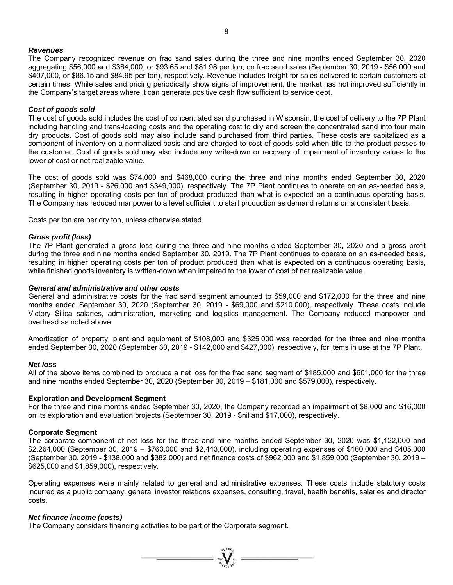#### *Revenues*

The Company recognized revenue on frac sand sales during the three and nine months ended September 30, 2020 aggregating \$56,000 and \$364,000, or \$93.65 and \$81.98 per ton, on frac sand sales (September 30, 2019 - \$56,000 and \$407,000, or \$86.15 and \$84.95 per ton), respectively. Revenue includes freight for sales delivered to certain customers at certain times. While sales and pricing periodically show signs of improvement, the market has not improved sufficiently in the Company's target areas where it can generate positive cash flow sufficient to service debt.

#### *Cost of goods sold*

The cost of goods sold includes the cost of concentrated sand purchased in Wisconsin, the cost of delivery to the 7P Plant including handling and trans-loading costs and the operating cost to dry and screen the concentrated sand into four main dry products. Cost of goods sold may also include sand purchased from third parties. These costs are capitalized as a component of inventory on a normalized basis and are charged to cost of goods sold when title to the product passes to the customer. Cost of goods sold may also include any write-down or recovery of impairment of inventory values to the lower of cost or net realizable value.

The cost of goods sold was \$74,000 and \$468,000 during the three and nine months ended September 30, 2020 (September 30, 2019 - \$26,000 and \$349,000), respectively. The 7P Plant continues to operate on an as-needed basis, resulting in higher operating costs per ton of product produced than what is expected on a continuous operating basis. The Company has reduced manpower to a level sufficient to start production as demand returns on a consistent basis.

Costs per ton are per dry ton, unless otherwise stated.

#### *Gross profit (loss)*

The 7P Plant generated a gross loss during the three and nine months ended September 30, 2020 and a gross profit during the three and nine months ended September 30, 2019. The 7P Plant continues to operate on an as-needed basis, resulting in higher operating costs per ton of product produced than what is expected on a continuous operating basis, while finished goods inventory is written-down when impaired to the lower of cost of net realizable value.

#### *General and administrative and other costs*

General and administrative costs for the frac sand segment amounted to \$59,000 and \$172,000 for the three and nine months ended September 30, 2020 (September 30, 2019 - \$69,000 and \$210,000), respectively. These costs include Victory Silica salaries, administration, marketing and logistics management. The Company reduced manpower and overhead as noted above.

Amortization of property, plant and equipment of \$108,000 and \$325,000 was recorded for the three and nine months ended September 30, 2020 (September 30, 2019 - \$142,000 and \$427,000), respectively, for items in use at the 7P Plant.

#### *Net loss*

All of the above items combined to produce a net loss for the frac sand segment of \$185,000 and \$601,000 for the three and nine months ended September 30, 2020 (September 30, 2019 – \$181,000 and \$579,000), respectively.

### **Exploration and Development Segment**

For the three and nine months ended September 30, 2020, the Company recorded an impairment of \$8,000 and \$16,000 on its exploration and evaluation projects (September 30, 2019 - \$nil and \$17,000), respectively.

### **Corporate Segment**

The corporate component of net loss for the three and nine months ended September 30, 2020 was \$1,122,000 and \$2,264,000 (September 30, 2019 – \$763,000 and \$2,443,000), including operating expenses of \$160,000 and \$405,000 (September 30, 2019 - \$138,000 and \$382,000) and net finance costs of \$962,000 and \$1,859,000 (September 30, 2019 – \$625,000 and \$1,859,000), respectively.

Operating expenses were mainly related to general and administrative expenses. These costs include statutory costs incurred as a public company, general investor relations expenses, consulting, travel, health benefits, salaries and director costs.

### *Net finance income (costs)*

The Company considers financing activities to be part of the Corporate segment.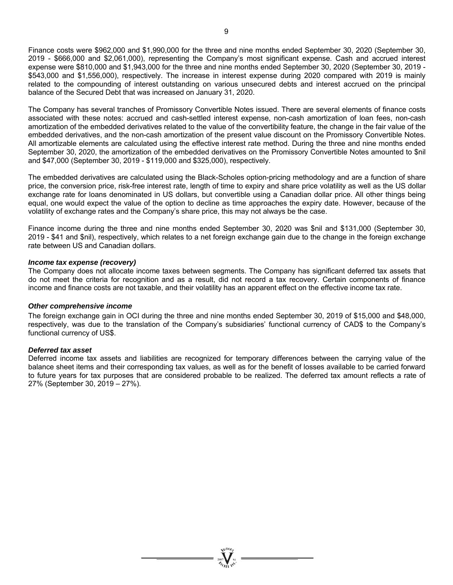Finance costs were \$962,000 and \$1,990,000 for the three and nine months ended September 30, 2020 (September 30, 2019 - \$666,000 and \$2,061,000), representing the Company's most significant expense. Cash and accrued interest expense were \$810,000 and \$1,943,000 for the three and nine months ended September 30, 2020 (September 30, 2019 - \$543,000 and \$1,556,000), respectively. The increase in interest expense during 2020 compared with 2019 is mainly related to the compounding of interest outstanding on various unsecured debts and interest accrued on the principal balance of the Secured Debt that was increased on January 31, 2020.

The Company has several tranches of Promissory Convertible Notes issued. There are several elements of finance costs associated with these notes: accrued and cash-settled interest expense, non-cash amortization of loan fees, non-cash amortization of the embedded derivatives related to the value of the convertibility feature, the change in the fair value of the embedded derivatives, and the non-cash amortization of the present value discount on the Promissory Convertible Notes. All amortizable elements are calculated using the effective interest rate method. During the three and nine months ended September 30, 2020, the amortization of the embedded derivatives on the Promissory Convertible Notes amounted to \$nil and \$47,000 (September 30, 2019 - \$119,000 and \$325,000), respectively.

The embedded derivatives are calculated using the Black-Scholes option-pricing methodology and are a function of share price, the conversion price, risk-free interest rate, length of time to expiry and share price volatility as well as the US dollar exchange rate for loans denominated in US dollars, but convertible using a Canadian dollar price. All other things being equal, one would expect the value of the option to decline as time approaches the expiry date. However, because of the volatility of exchange rates and the Company's share price, this may not always be the case.

Finance income during the three and nine months ended September 30, 2020 was \$nil and \$131,000 (September 30, 2019 - \$41 and \$nil), respectively, which relates to a net foreign exchange gain due to the change in the foreign exchange rate between US and Canadian dollars.

#### *Income tax expense (recovery)*

The Company does not allocate income taxes between segments. The Company has significant deferred tax assets that do not meet the criteria for recognition and as a result, did not record a tax recovery. Certain components of finance income and finance costs are not taxable, and their volatility has an apparent effect on the effective income tax rate.

#### *Other comprehensive income*

The foreign exchange gain in OCI during the three and nine months ended September 30, 2019 of \$15,000 and \$48,000, respectively, was due to the translation of the Company's subsidiaries' functional currency of CAD\$ to the Company's functional currency of US\$.

### *Deferred tax asset*

Deferred income tax assets and liabilities are recognized for temporary differences between the carrying value of the balance sheet items and their corresponding tax values, as well as for the benefit of losses available to be carried forward to future years for tax purposes that are considered probable to be realized. The deferred tax amount reflects a rate of 27% (September 30, 2019 – 27%).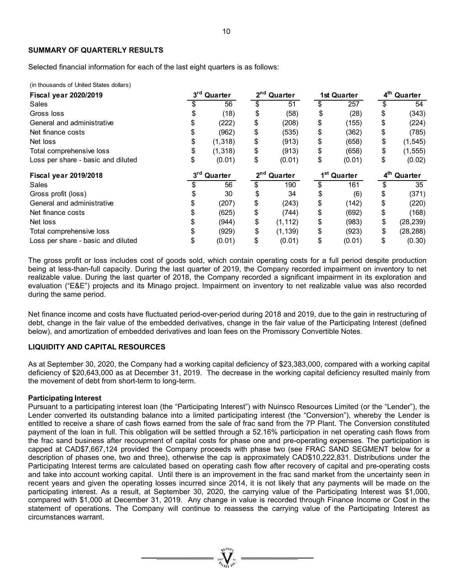### **SUMMARY OF QUARTERLY RESULTS**

Selected financial information for each of the last eight quarters is as follows:

(in thousands of United States dollars)

| <b>Fiscal year 2020/2019</b>       | 3rd Quarter<br>2 <sup>nd</sup> Quarter |                         |                         | <b>1st Quarter</b> | 4 <sup>th</sup> Quarter |        |                         |           |
|------------------------------------|----------------------------------------|-------------------------|-------------------------|--------------------|-------------------------|--------|-------------------------|-----------|
| Sales                              |                                        | 56                      |                         | 51                 | \$                      | 257    | \$                      | 54        |
| Gross loss                         |                                        | (18)                    | \$                      | (58)               | \$                      | (28)   | \$                      | (343)     |
| General and administrative         |                                        | (222)                   | \$                      | (208)              | \$                      | (155)  | \$                      | (224)     |
| Net finance costs                  |                                        | (962)                   | \$                      | (535)              | \$                      | (362)  | \$                      | (785)     |
| Net loss                           | \$                                     | (1, 318)                | \$                      | (913)              | \$                      | (658)  | \$                      | (1, 545)  |
| Total comprehensive loss           |                                        | (1,318)                 | \$                      | (913)              | \$                      | (658)  | \$                      | (1, 555)  |
| Loss per share - basic and diluted | \$                                     | (0.01)                  | \$                      | (0.01)             | \$                      | (0.01) | \$                      | (0.02)    |
| <b>Fiscal year 2019/2018</b>       |                                        | 3 <sup>rd</sup> Quarter | 2 <sup>nd</sup> Quarter |                    | 1 <sup>st</sup> Quarter |        | 4 <sup>th</sup> Quarter |           |
| Sales                              |                                        | 56                      | \$                      | 190                | \$                      | 161    | \$                      | 35        |
| Gross profit (loss)                |                                        | 30                      |                         | 34                 | \$                      | (6)    | \$                      | (371)     |
| General and administrative         |                                        | (207)                   | \$                      | (243)              | \$                      | (142)  | \$                      | (220)     |
| Net finance costs                  |                                        | (625)                   | \$                      | (744)              | \$                      | (692)  | \$                      | (168)     |
|                                    |                                        |                         |                         |                    |                         |        |                         |           |
| Net loss                           |                                        | (944)                   | \$                      | (1, 112)           | \$                      | (983)  | \$                      | (28, 239) |
| Total comprehensive loss           |                                        | (929)                   | \$                      | (1, 139)           | \$                      | (923)  | \$                      | (28, 288) |

The gross profit or loss includes cost of goods sold, which contain operating costs for a full period despite production being at less-than-full capacity. During the last quarter of 2019, the Company recorded impairment on inventory to net realizable value. During the last quarter of 2018, the Company recorded a significant impairment in its exploration and evaluation ("E&E") projects and its Minago project. Impairment on inventory to net realizable value was also recorded during the same period.

Net finance income and costs have fluctuated period-over-period during 2018 and 2019, due to the gain in restructuring of debt, change in the fair value of the embedded derivatives, change in the fair value of the Participating Interest (defined below), and amortization of embedded derivatives and loan fees on the Promissory Convertible Notes.

#### **LIQUIDITY AND CAPITAL RESOURCES**

As at September 30, 2020, the Company had a working capital deficiency of \$23,383,000, compared with a working capital deficiency of \$20,643,000 as at December 31, 2019. The decrease in the working capital deficiency resulted mainly from the movement of debt from short-term to long-term.

#### **Participating Interest**

Pursuant to a participating interest loan (the "Participating Interest") with Nuinsco Resources Limited (or the "Lender"), the Lender converted its outstanding balance into a limited participating interest (the "Conversion"), whereby the Lender is entitled to receive a share of cash flows earned from the sale of frac sand from the 7P Plant. The Conversion constituted payment of the loan in full. This obligation will be settled through a 52.16% participation in net operating cash flows from the frac sand business after recoupment of capital costs for phase one and pre-operating expenses. The participation is capped at CAD\$7,667,124 provided the Company proceeds with phase two (see FRAC SAND SEGMENT below for a description of phases one, two and three), otherwise the cap is approximately CAD\$10,222,831. Distributions under the Participating Interest terms are calculated based on operating cash flow after recovery of capital and pre-operating costs and take into account working capital. Until there is an improvement in the frac sand market from the uncertainty seen in recent years and given the operating losses incurred since 2014, it is not likely that any payments will be made on the participating interest. As a result, at September 30, 2020, the carrying value of the Participating Interest was \$1,000, compared with \$1,000 at December 31, 2019. Any change in value is recorded through Finance Income or Cost in the statement of operations. The Company will continue to reassess the carrying value of the Participating Interest as circumstances warrant.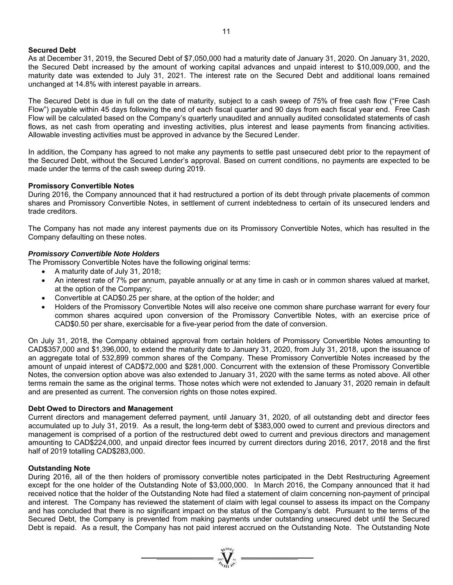### **Secured Debt**

As at December 31, 2019, the Secured Debt of \$7,050,000 had a maturity date of January 31, 2020. On January 31, 2020, the Secured Debt increased by the amount of working capital advances and unpaid interest to \$10,009,000, and the maturity date was extended to July 31, 2021. The interest rate on the Secured Debt and additional loans remained unchanged at 14.8% with interest payable in arrears.

The Secured Debt is due in full on the date of maturity, subject to a cash sweep of 75% of free cash flow ("Free Cash Flow") payable within 45 days following the end of each fiscal quarter and 90 days from each fiscal year end. Free Cash Flow will be calculated based on the Company's quarterly unaudited and annually audited consolidated statements of cash flows, as net cash from operating and investing activities, plus interest and lease payments from financing activities. Allowable investing activities must be approved in advance by the Secured Lender.

In addition, the Company has agreed to not make any payments to settle past unsecured debt prior to the repayment of the Secured Debt, without the Secured Lender's approval. Based on current conditions, no payments are expected to be made under the terms of the cash sweep during 2019.

### **Promissory Convertible Notes**

During 2016, the Company announced that it had restructured a portion of its debt through private placements of common shares and Promissory Convertible Notes, in settlement of current indebtedness to certain of its unsecured lenders and trade creditors.

The Company has not made any interest payments due on its Promissory Convertible Notes, which has resulted in the Company defaulting on these notes.

# *Promissory Convertible Note Holders*

The Promissory Convertible Notes have the following original terms:

- A maturity date of July 31, 2018;
- An interest rate of 7% per annum, payable annually or at any time in cash or in common shares valued at market, at the option of the Company;
- Convertible at CAD\$0.25 per share, at the option of the holder; and
- Holders of the Promissory Convertible Notes will also receive one common share purchase warrant for every four common shares acquired upon conversion of the Promissory Convertible Notes, with an exercise price of CAD\$0.50 per share, exercisable for a five-year period from the date of conversion.

On July 31, 2018, the Company obtained approval from certain holders of Promissory Convertible Notes amounting to CAD\$357,000 and \$1,396,000, to extend the maturity date to January 31, 2020, from July 31, 2018, upon the issuance of an aggregate total of 532,899 common shares of the Company. These Promissory Convertible Notes increased by the amount of unpaid interest of CAD\$72,000 and \$281,000. Concurrent with the extension of these Promissory Convertible Notes, the conversion option above was also extended to January 31, 2020 with the same terms as noted above. All other terms remain the same as the original terms. Those notes which were not extended to January 31, 2020 remain in default and are presented as current. The conversion rights on those notes expired.

### **Debt Owed to Directors and Management**

Current directors and management deferred payment, until January 31, 2020, of all outstanding debt and director fees accumulated up to July 31, 2019. As a result, the long-term debt of \$383,000 owed to current and previous directors and management is comprised of a portion of the restructured debt owed to current and previous directors and management amounting to CAD\$224,000, and unpaid director fees incurred by current directors during 2016, 2017, 2018 and the first half of 2019 totalling CAD\$283,000.

### **Outstanding Note**

During 2016, all of the then holders of promissory convertible notes participated in the Debt Restructuring Agreement except for the one holder of the Outstanding Note of \$3,000,000. In March 2016, the Company announced that it had received notice that the holder of the Outstanding Note had filed a statement of claim concerning non-payment of principal and interest. The Company has reviewed the statement of claim with legal counsel to assess its impact on the Company and has concluded that there is no significant impact on the status of the Company's debt. Pursuant to the terms of the Secured Debt, the Company is prevented from making payments under outstanding unsecured debt until the Secured Debt is repaid. As a result, the Company has not paid interest accrued on the Outstanding Note. The Outstanding Note

 $\sum_{\alpha}$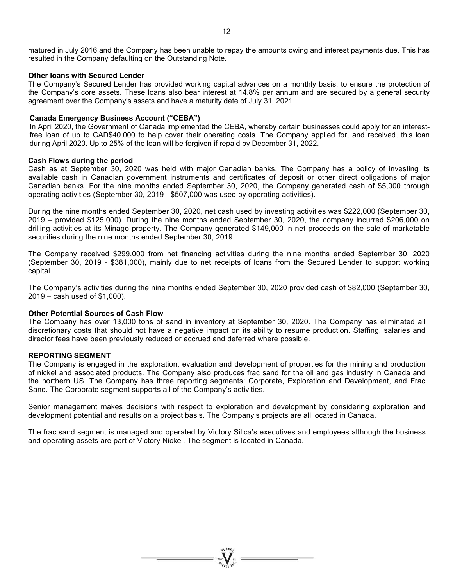### **Other loans with Secured Lender**

The Company's Secured Lender has provided working capital advances on a monthly basis, to ensure the protection of the Company's core assets. These loans also bear interest at 14.8% per annum and are secured by a general security agreement over the Company's assets and have a maturity date of July 31, 2021.

#### **Canada Emergency Business Account ("CEBA")**

resulted in the Company defaulting on the Outstanding Note.

In April 2020, the Government of Canada implemented the CEBA, whereby certain businesses could apply for an interestfree loan of up to CAD\$40,000 to help cover their operating costs. The Company applied for, and received, this loan during April 2020. Up to 25% of the loan will be forgiven if repaid by December 31, 2022.

#### **Cash Flows during the period**

Cash as at September 30, 2020 was held with major Canadian banks. The Company has a policy of investing its available cash in Canadian government instruments and certificates of deposit or other direct obligations of major Canadian banks. For the nine months ended September 30, 2020, the Company generated cash of \$5,000 through operating activities (September 30, 2019 - \$507,000 was used by operating activities).

During the nine months ended September 30, 2020, net cash used by investing activities was \$222,000 (September 30, 2019 – provided \$125,000). During the nine months ended September 30, 2020, the company incurred \$206,000 on drilling activities at its Minago property. The Company generated \$149,000 in net proceeds on the sale of marketable securities during the nine months ended September 30, 2019.

The Company received \$299,000 from net financing activities during the nine months ended September 30, 2020 (September 30, 2019 - \$381,000), mainly due to net receipts of loans from the Secured Lender to support working capital.

The Company's activities during the nine months ended September 30, 2020 provided cash of \$82,000 (September 30, 2019 – cash used of \$1,000).

### **Other Potential Sources of Cash Flow**

The Company has over 13,000 tons of sand in inventory at September 30, 2020. The Company has eliminated all discretionary costs that should not have a negative impact on its ability to resume production. Staffing, salaries and director fees have been previously reduced or accrued and deferred where possible.

### **REPORTING SEGMENT**

The Company is engaged in the exploration, evaluation and development of properties for the mining and production of nickel and associated products. The Company also produces frac sand for the oil and gas industry in Canada and the northern US. The Company has three reporting segments: Corporate, Exploration and Development, and Frac Sand. The Corporate segment supports all of the Company's activities.

Senior management makes decisions with respect to exploration and development by considering exploration and development potential and results on a project basis. The Company's projects are all located in Canada.

The frac sand segment is managed and operated by Victory Silica's executives and employees although the business and operating assets are part of Victory Nickel. The segment is located in Canada.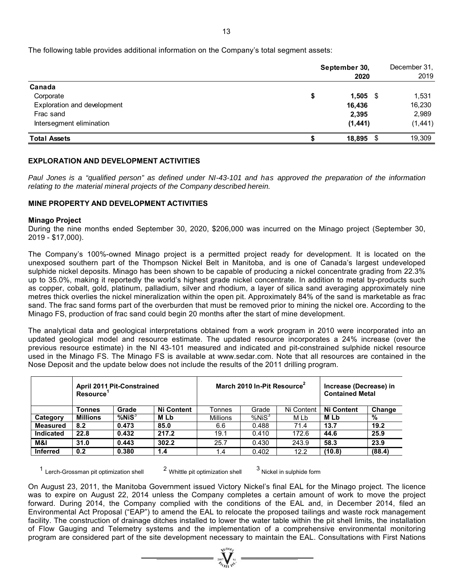The following table provides additional information on the Company's total segment assets:

|                             | September 30,<br>2020 |            | December 31,<br>2019 |
|-----------------------------|-----------------------|------------|----------------------|
| Canada                      |                       |            |                      |
| Corporate                   | \$                    | $1,505$ \$ | 1,531                |
| Exploration and development | 16,436                |            | 16,230               |
| Frac sand                   | 2,395                 |            | 2,989                |
| Intersegment elimination    | (1, 441)              |            | (1, 441)             |
| <b>Total Assets</b>         | 18,895                | - \$       | 19,309               |

# **EXPLORATION AND DEVELOPMENT ACTIVITIES**

*Paul Jones is a "qualified person" as defined under NI-43-101 and has approved the preparation of the information relating to the material mineral projects of the Company described herein.* 

# **MINE PROPERTY AND DEVELOPMENT ACTIVITIES**

#### **Minago Project**

During the nine months ended September 30, 2020, \$206,000 was incurred on the Minago project (September 30, 2019 - \$17,000).

The Company's 100%-owned Minago project is a permitted project ready for development. It is located on the unexposed southern part of the Thompson Nickel Belt in Manitoba, and is one of Canada's largest undeveloped sulphide nickel deposits. Minago has been shown to be capable of producing a nickel concentrate grading from 22.3% up to 35.0%, making it reportedly the world's highest grade nickel concentrate. In addition to metal by-products such as copper, cobalt, gold, platinum, palladium, silver and rhodium, a layer of silica sand averaging approximately nine metres thick overlies the nickel mineralization within the open pit. Approximately 84% of the sand is marketable as frac sand. The frac sand forms part of the overburden that must be removed prior to mining the nickel ore. According to the Minago FS, production of frac sand could begin 20 months after the start of mine development.

The analytical data and geological interpretations obtained from a work program in 2010 were incorporated into an updated geological model and resource estimate. The updated resource incorporates a 24% increase (over the previous resource estimate) in the NI 43-101 measured and indicated and pit-constrained sulphide nickel resource used in the Minago FS. The Minago FS is available at www.sedar.com. Note that all resources are contained in the Nose Deposit and the update below does not include the results of the 2011 drilling program.

|                  | <b>Resource</b> | <b>April 2011 Pit-Constrained</b> |                   |                 | March 2010 In-Pit Resource <sup>2</sup> | Increase (Decrease) in<br><b>Contained Metal</b> |                   |        |
|------------------|-----------------|-----------------------------------|-------------------|-----------------|-----------------------------------------|--------------------------------------------------|-------------------|--------|
|                  | Tonnes          | Grade                             | <b>Ni Content</b> | Tonnes          | Grade                                   | Ni Content                                       | <b>Ni Content</b> | Change |
| Category         | <b>Millions</b> | $%$ Ni $S3$                       | <b>MLb</b>        | <b>Millions</b> | %NiS <sup>3</sup>                       | M Lb                                             | <b>MLb</b>        | %      |
| <b>Measured</b>  | 8.2             | 0.473                             | 85.0              | 6.6             | 0.488                                   | 71.4                                             | 13.7              | 19.2   |
| <b>Indicated</b> | 22.8            | 0.432                             | 217.2             | 19.1            | 0.410                                   | 172.6                                            | 44.6              | 25.9   |
| M&I              | 31.0            | 0.443                             | 302.2             | 25.7            | 0.430                                   | 243.9                                            | 58.3              | 23.9   |
| <b>Inferred</b>  | 0.2             | 0.380                             | 1.4               | 1.4             | 0.402                                   | 12.2                                             | (10.8)            | (88.4) |

 $1$  Lerch-Grossman pit optimization shell  $2$  Whittle pit optimization shell  $3$  Nickel in sulphide form

On August 23, 2011, the Manitoba Government issued Victory Nickel's final EAL for the Minago project. The licence was to expire on August 22, 2014 unless the Company completes a certain amount of work to move the project forward. During 2014, the Company complied with the conditions of the EAL and, in December 2014, filed an Environmental Act Proposal ("EAP") to amend the EAL to relocate the proposed tailings and waste rock management facility. The construction of drainage ditches installed to lower the water table within the pit shell limits, the installation of Flow Gauging and Telemetry systems and the implementation of a comprehensive environmental monitoring program are considered part of the site development necessary to maintain the EAL. Consultations with First Nations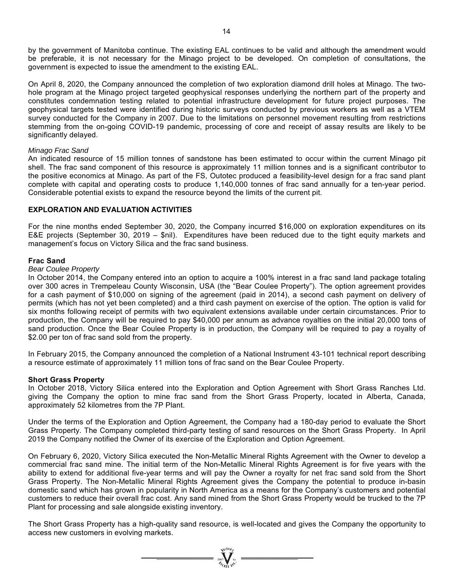by the government of Manitoba continue. The existing EAL continues to be valid and although the amendment would be preferable, it is not necessary for the Minago project to be developed. On completion of consultations, the government is expected to issue the amendment to the existing EAL.

On April 8, 2020, the Company announced the completion of two exploration diamond drill holes at Minago. The twohole program at the Minago project targeted geophysical responses underlying the northern part of the property and constitutes condemnation testing related to potential infrastructure development for future project purposes. The geophysical targets tested were identified during historic surveys conducted by previous workers as well as a VTEM survey conducted for the Company in 2007. Due to the limitations on personnel movement resulting from restrictions stemming from the on-going COVID-19 pandemic, processing of core and receipt of assay results are likely to be significantly delayed.

### *Minago Frac Sand*

An indicated resource of 15 million tonnes of sandstone has been estimated to occur within the current Minago pit shell. The frac sand component of this resource is approximately 11 million tonnes and is a significant contributor to the positive economics at Minago. As part of the FS, Outotec produced a feasibility-level design for a frac sand plant complete with capital and operating costs to produce 1,140,000 tonnes of frac sand annually for a ten-year period. Considerable potential exists to expand the resource beyond the limits of the current pit.

### **EXPLORATION AND EVALUATION ACTIVITIES**

For the nine months ended September 30, 2020, the Company incurred \$16,000 on exploration expenditures on its E&E projects (September 30, 2019 – \$nil). Expenditures have been reduced due to the tight equity markets and management's focus on Victory Silica and the frac sand business.

#### **Frac Sand**

#### *Bear Coulee Property*

In October 2014, the Company entered into an option to acquire a 100% interest in a frac sand land package totaling over 300 acres in Trempeleau County Wisconsin, USA (the "Bear Coulee Property"). The option agreement provides for a cash payment of \$10,000 on signing of the agreement (paid in 2014), a second cash payment on delivery of permits (which has not yet been completed) and a third cash payment on exercise of the option. The option is valid for six months following receipt of permits with two equivalent extensions available under certain circumstances. Prior to production, the Company will be required to pay \$40,000 per annum as advance royalties on the initial 20,000 tons of sand production. Once the Bear Coulee Property is in production, the Company will be required to pay a royalty of \$2.00 per ton of frac sand sold from the property.

In February 2015, the Company announced the completion of a National Instrument 43-101 technical report describing a resource estimate of approximately 11 million tons of frac sand on the Bear Coulee Property.

#### **Short Grass Property**

In October 2018, Victory Silica entered into the Exploration and Option Agreement with Short Grass Ranches Ltd. giving the Company the option to mine frac sand from the Short Grass Property, located in Alberta, Canada, approximately 52 kilometres from the 7P Plant.

Under the terms of the Exploration and Option Agreement, the Company had a 180-day period to evaluate the Short Grass Property. The Company completed third-party testing of sand resources on the Short Grass Property. In April 2019 the Company notified the Owner of its exercise of the Exploration and Option Agreement.

On February 6, 2020, Victory Silica executed the Non-Metallic Mineral Rights Agreement with the Owner to develop a commercial frac sand mine. The initial term of the Non-Metallic Mineral Rights Agreement is for five years with the ability to extend for additional five-year terms and will pay the Owner a royalty for net frac sand sold from the Short Grass Property. The Non-Metallic Mineral Rights Agreement gives the Company the potential to produce in-basin domestic sand which has grown in popularity in North America as a means for the Company's customers and potential customers to reduce their overall frac cost. Any sand mined from the Short Grass Property would be trucked to the 7P Plant for processing and sale alongside existing inventory.

The Short Grass Property has a high-quality sand resource, is well-located and gives the Company the opportunity to access new customers in evolving markets.

=  $\sum_{\substack{\text{asymatrix} \\ \text{on} \\ \text{on} \\ \text{on} \\ \text{on} \\ \text{on} \\ \text{on} \\ \text{on} \\ \text{on} \\ \text{on} \\ \text{on} \\ \text{on} \\ \text{on} \\ \text{on} \\ \text{on} \\ \text{on} \\ \text{on} \\ \text{on} \\ \text{on} \\ \text{on} \\ \text{on} \\ \text{on} \\ \text{on} \\ \text{on} \\ \text{on} \\ \text{on} \\ \text{on} \\ \text{on} \\ \text{on} \\ \text{on} \\ \text{on} \\ \text{on} \\ \text{on} \\ \text{on} \\ \text{on} \\$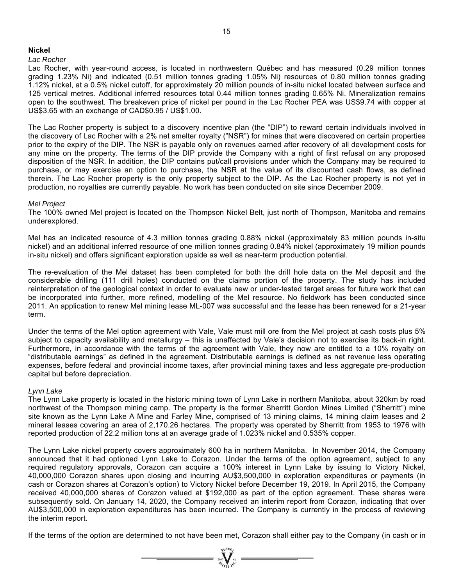### **Nickel**

### *Lac Rocher*

Lac Rocher, with year-round access, is located in northwestern Québec and has measured (0.29 million tonnes grading 1.23% Ni) and indicated (0.51 million tonnes grading 1.05% Ni) resources of 0.80 million tonnes grading 1.12% nickel, at a 0.5% nickel cutoff, for approximately 20 million pounds of in-situ nickel located between surface and 125 vertical metres. Additional inferred resources total 0.44 million tonnes grading 0.65% Ni. Mineralization remains open to the southwest. The breakeven price of nickel per pound in the Lac Rocher PEA was US\$9.74 with copper at US\$3.65 with an exchange of CAD\$0.95 / US\$1.00.

The Lac Rocher property is subject to a discovery incentive plan (the "DIP") to reward certain individuals involved in the discovery of Lac Rocher with a 2% net smelter royalty ("NSR") for mines that were discovered on certain properties prior to the expiry of the DIP. The NSR is payable only on revenues earned after recovery of all development costs for any mine on the property. The terms of the DIP provide the Company with a right of first refusal on any proposed disposition of the NSR. In addition, the DIP contains put/call provisions under which the Company may be required to purchase, or may exercise an option to purchase, the NSR at the value of its discounted cash flows, as defined therein. The Lac Rocher property is the only property subject to the DIP. As the Lac Rocher property is not yet in production, no royalties are currently payable. No work has been conducted on site since December 2009.

# *Mel Project*

The 100% owned Mel project is located on the Thompson Nickel Belt, just north of Thompson, Manitoba and remains underexplored.

Mel has an indicated resource of 4.3 million tonnes grading 0.88% nickel (approximately 83 million pounds in-situ nickel) and an additional inferred resource of one million tonnes grading 0.84% nickel (approximately 19 million pounds in-situ nickel) and offers significant exploration upside as well as near-term production potential.

The re-evaluation of the Mel dataset has been completed for both the drill hole data on the Mel deposit and the considerable drilling (111 drill holes) conducted on the claims portion of the property. The study has included reinterpretation of the geological context in order to evaluate new or under-tested target areas for future work that can be incorporated into further, more refined, modelling of the Mel resource. No fieldwork has been conducted since 2011. An application to renew Mel mining lease ML-007 was successful and the lease has been renewed for a 21-year term.

Under the terms of the Mel option agreement with Vale, Vale must mill ore from the Mel project at cash costs plus 5% subject to capacity availability and metallurgy – this is unaffected by Vale's decision not to exercise its back-in right. Furthermore, in accordance with the terms of the agreement with Vale, they now are entitled to a 10% royalty on "distributable earnings" as defined in the agreement. Distributable earnings is defined as net revenue less operating expenses, before federal and provincial income taxes, after provincial mining taxes and less aggregate pre-production capital but before depreciation.

# *Lynn Lake*

The Lynn Lake property is located in the historic mining town of Lynn Lake in northern Manitoba, about 320km by road northwest of the Thompson mining camp. The property is the former Sherritt Gordon Mines Limited ("Sherritt") mine site known as the Lynn Lake A Mine and Farley Mine, comprised of 13 mining claims, 14 mining claim leases and 2 mineral leases covering an area of 2,170.26 hectares. The property was operated by Sherritt from 1953 to 1976 with reported production of 22.2 million tons at an average grade of 1.023% nickel and 0.535% copper.

The Lynn Lake nickel property covers approximately 600 ha in northern Manitoba. In November 2014, the Company announced that it had optioned Lynn Lake to Corazon. Under the terms of the option agreement, subject to any required regulatory approvals, Corazon can acquire a 100% interest in Lynn Lake by issuing to Victory Nickel, 40,000,000 Corazon shares upon closing and incurring AU\$3,500,000 in exploration expenditures or payments (in cash or Corazon shares at Corazon's option) to Victory Nickel before December 19, 2019. In April 2015, the Company received 40,000,000 shares of Corazon valued at \$192,000 as part of the option agreement. These shares were subsequently sold. On January 14, 2020, the Company received an interim report from Corazon, indicating that over AU\$3,500,000 in exploration expenditures has been incurred. The Company is currently in the process of reviewing the interim report.

If the terms of the option are determined to not have been met, Corazon shall either pay to the Company (in cash or in

 $=\prod_{\substack{i=1\\ \text{odd }i}}^{\text{val}(i)}$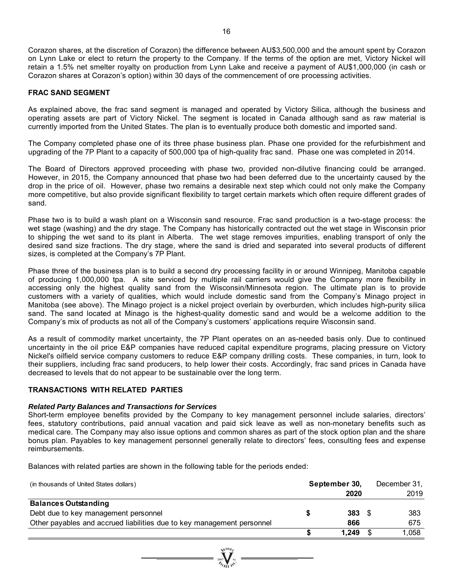Corazon shares, at the discretion of Corazon) the difference between AU\$3,500,000 and the amount spent by Corazon on Lynn Lake or elect to return the property to the Company. If the terms of the option are met, Victory Nickel will retain a 1.5% net smelter royalty on production from Lynn Lake and receive a payment of AU\$1,000,000 (in cash or Corazon shares at Corazon's option) within 30 days of the commencement of ore processing activities.

### **FRAC SAND SEGMENT**

As explained above, the frac sand segment is managed and operated by Victory Silica, although the business and operating assets are part of Victory Nickel. The segment is located in Canada although sand as raw material is currently imported from the United States. The plan is to eventually produce both domestic and imported sand.

The Company completed phase one of its three phase business plan. Phase one provided for the refurbishment and upgrading of the 7P Plant to a capacity of 500,000 tpa of high-quality frac sand. Phase one was completed in 2014.

The Board of Directors approved proceeding with phase two, provided non-dilutive financing could be arranged. However, in 2015, the Company announced that phase two had been deferred due to the uncertainty caused by the drop in the price of oil. However, phase two remains a desirable next step which could not only make the Company more competitive, but also provide significant flexibility to target certain markets which often require different grades of sand.

Phase two is to build a wash plant on a Wisconsin sand resource. Frac sand production is a two-stage process: the wet stage (washing) and the dry stage. The Company has historically contracted out the wet stage in Wisconsin prior to shipping the wet sand to its plant in Alberta. The wet stage removes impurities, enabling transport of only the desired sand size fractions. The dry stage, where the sand is dried and separated into several products of different sizes, is completed at the Company's 7P Plant.

Phase three of the business plan is to build a second dry processing facility in or around Winnipeg, Manitoba capable of producing 1,000,000 tpa. A site serviced by multiple rail carriers would give the Company more flexibility in accessing only the highest quality sand from the Wisconsin/Minnesota region. The ultimate plan is to provide customers with a variety of qualities, which would include domestic sand from the Company's Minago project in Manitoba (see above). The Minago project is a nickel project overlain by overburden, which includes high-purity silica sand. The sand located at Minago is the highest-quality domestic sand and would be a welcome addition to the Company's mix of products as not all of the Company's customers' applications require Wisconsin sand.

As a result of commodity market uncertainty, the 7P Plant operates on an as-needed basis only. Due to continued uncertainty in the oil price E&P companies have reduced capital expenditure programs, placing pressure on Victory Nickel's oilfield service company customers to reduce E&P company drilling costs. These companies, in turn, look to their suppliers, including frac sand producers, to help lower their costs. Accordingly, frac sand prices in Canada have decreased to levels that do not appear to be sustainable over the long term.

# **TRANSACTIONS WITH RELATED PARTIES**

#### *Related Party Balances and Transactions for Services*

Short-term employee benefits provided by the Company to key management personnel include salaries, directors' fees, statutory contributions, paid annual vacation and paid sick leave as well as non-monetary benefits such as medical care. The Company may also issue options and common shares as part of the stock option plan and the share bonus plan. Payables to key management personnel generally relate to directors' fees, consulting fees and expense reimbursements.

Balances with related parties are shown in the following table for the periods ended:

| (in thousands of United States dollars)                                | September 30, | December 31, |
|------------------------------------------------------------------------|---------------|--------------|
|                                                                        | 2020          | 2019         |
| <b>Balances Outstanding</b>                                            |               |              |
| Debt due to key management personnel                                   | $383\quad$    | 383          |
| Other payables and accrued liabilities due to key management personnel | 866           | 675          |
|                                                                        | 1,249         | 1.058        |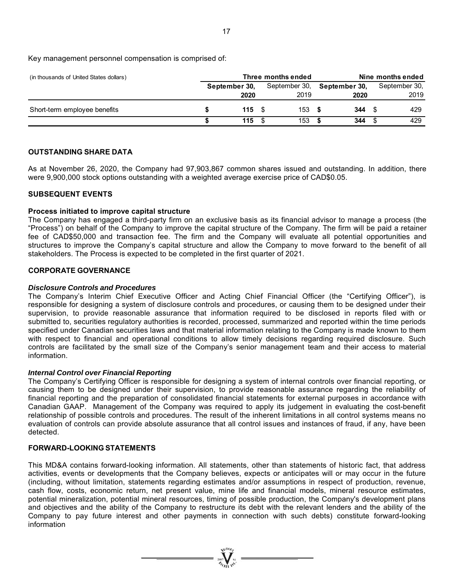Key management personnel compensation is comprised of:

| (in thousands of United States dollars) | Three months ended     |               | Nine months ended |               |  |  |
|-----------------------------------------|------------------------|---------------|-------------------|---------------|--|--|
|                                         | September 30.          | September 30, | September 30,     | September 30, |  |  |
|                                         | 2020                   | 2019          | 2020              | 2019          |  |  |
| Short-term employee benefits            | $115 \quad$ $\sqrt{5}$ | 153           | 344               | 429           |  |  |
|                                         | 115                    | 153           | 344               | 429           |  |  |

### **OUTSTANDING SHARE DATA**

As at November 26, 2020, the Company had 97,903,867 common shares issued and outstanding. In addition, there were 9,900,000 stock options outstanding with a weighted average exercise price of CAD\$0.05.

#### **SUBSEQUENT EVENTS**

#### **Process initiated to improve capital structure**

The Company has engaged a third-party firm on an exclusive basis as its financial advisor to manage a process (the "Process") on behalf of the Company to improve the capital structure of the Company. The firm will be paid a retainer fee of CAD\$50,000 and transaction fee. The firm and the Company will evaluate all potential opportunities and structures to improve the Company's capital structure and allow the Company to move forward to the benefit of all stakeholders. The Process is expected to be completed in the first quarter of 2021.

#### **CORPORATE GOVERNANCE**

#### *Disclosure Controls and Procedures*

The Company's Interim Chief Executive Officer and Acting Chief Financial Officer (the "Certifying Officer"), is responsible for designing a system of disclosure controls and procedures, or causing them to be designed under their supervision, to provide reasonable assurance that information required to be disclosed in reports filed with or submitted to, securities regulatory authorities is recorded, processed, summarized and reported within the time periods specified under Canadian securities laws and that material information relating to the Company is made known to them with respect to financial and operational conditions to allow timely decisions regarding required disclosure. Such controls are facilitated by the small size of the Company's senior management team and their access to material information.

### *Internal Control over Financial Reporting*

The Company's Certifying Officer is responsible for designing a system of internal controls over financial reporting, or causing them to be designed under their supervision, to provide reasonable assurance regarding the reliability of financial reporting and the preparation of consolidated financial statements for external purposes in accordance with Canadian GAAP. Management of the Company was required to apply its judgement in evaluating the cost-benefit relationship of possible controls and procedures. The result of the inherent limitations in all control systems means no evaluation of controls can provide absolute assurance that all control issues and instances of fraud, if any, have been detected.

### **FORWARD-LOOKING STATEMENTS**

This MD&A contains forward-looking information. All statements, other than statements of historic fact, that address activities, events or developments that the Company believes, expects or anticipates will or may occur in the future (including, without limitation, statements regarding estimates and/or assumptions in respect of production, revenue, cash flow, costs, economic return, net present value, mine life and financial models, mineral resource estimates, potential mineralization, potential mineral resources, timing of possible production, the Company's development plans and objectives and the ability of the Company to restructure its debt with the relevant lenders and the ability of the Company to pay future interest and other payments in connection with such debts) constitute forward-looking information